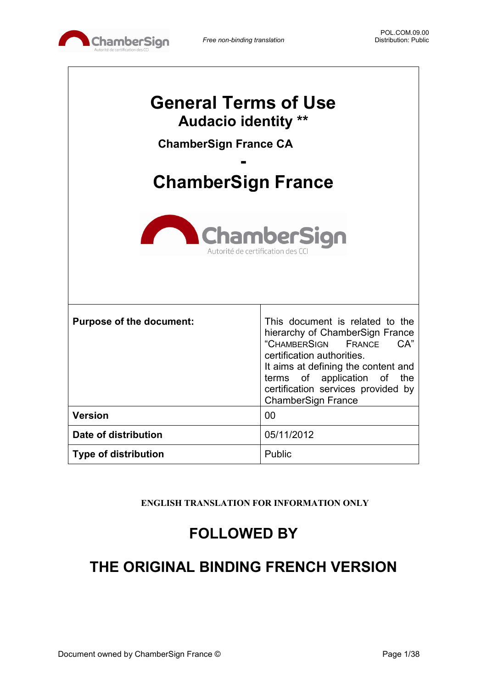

 $\Gamma$ 

 $\overline{\phantom{a}}$ 

| <b>General Terms of Use</b><br><b>Audacio identity **</b><br><b>ChamberSign France CA</b><br><b>ChamberSign France</b><br><b>ChamberSign</b><br>Autorité de certification des CC |                                                                                                                                                                                                                                                                                      |  |  |
|----------------------------------------------------------------------------------------------------------------------------------------------------------------------------------|--------------------------------------------------------------------------------------------------------------------------------------------------------------------------------------------------------------------------------------------------------------------------------------|--|--|
| <b>Purpose of the document:</b>                                                                                                                                                  | This document is related to the<br>hierarchy of ChamberSign France<br>"CHAMBERSIGN<br>CA"<br><b>FRANCE</b><br>certification authorities.<br>It aims at defining the content and<br>terms of application of<br>the<br>certification services provided by<br><b>ChamberSign France</b> |  |  |
| <b>Version</b>                                                                                                                                                                   | 00                                                                                                                                                                                                                                                                                   |  |  |
| Date of distribution                                                                                                                                                             | 05/11/2012                                                                                                                                                                                                                                                                           |  |  |
| <b>Type of distribution</b>                                                                                                                                                      | Public                                                                                                                                                                                                                                                                               |  |  |

**ENGLISH TRANSLATION FOR INFORMATION ONLY**

## **FOLLOWED BY**

## **THE ORIGINAL BINDING FRENCH VERSION**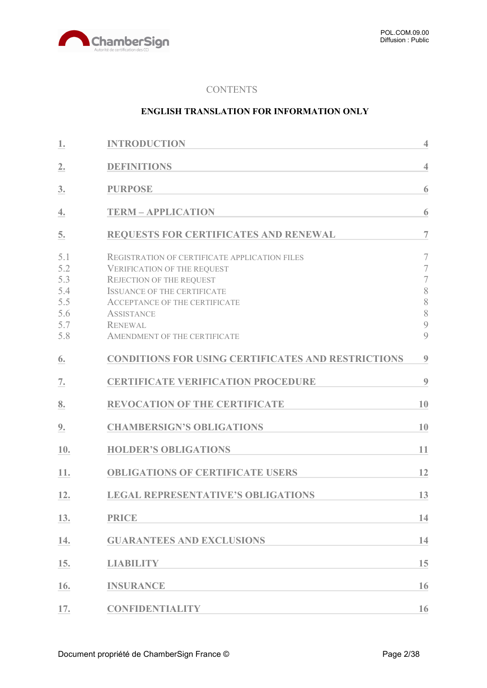

#### **CONTENTS**

#### **ENGLISH TRANSLATION FOR INFORMATION ONLY**

| 1.                                                   | <b>INTRODUCTION</b>                                                                                                                                                                                                                                                                | $\overline{4}$                                                         |
|------------------------------------------------------|------------------------------------------------------------------------------------------------------------------------------------------------------------------------------------------------------------------------------------------------------------------------------------|------------------------------------------------------------------------|
| 2.                                                   | <b>DEFINITIONS</b>                                                                                                                                                                                                                                                                 | $\overline{4}$                                                         |
| 3.                                                   | <b>PURPOSE</b>                                                                                                                                                                                                                                                                     | 6                                                                      |
| 4.                                                   | <b>TERM - APPLICATION</b>                                                                                                                                                                                                                                                          | 6                                                                      |
| 5.                                                   | <b>REQUESTS FOR CERTIFICATES AND RENEWAL</b>                                                                                                                                                                                                                                       | $\overline{7}$                                                         |
| 5.1<br>5.2<br>5.3<br>5.4<br>5.5<br>5.6<br>5.7<br>5.8 | <b>REGISTRATION OF CERTIFICATE APPLICATION FILES</b><br><b>VERIFICATION OF THE REQUEST</b><br><b>REJECTION OF THE REQUEST</b><br><b>ISSUANCE OF THE CERTIFICATE</b><br><b>ACCEPTANCE OF THE CERTIFICATE</b><br><b>ASSISTANCE</b><br><b>RENEWAL</b><br>AMENDMENT OF THE CERTIFICATE | 7<br>$\overline{7}$<br>$\overline{7}$<br>8<br>8<br>$\,$ $\,$<br>9<br>9 |
| 6.                                                   | <b>CONDITIONS FOR USING CERTIFICATES AND RESTRICTIONS</b>                                                                                                                                                                                                                          | $\boldsymbol{9}$                                                       |
| 7.                                                   | <b>CERTIFICATE VERIFICATION PROCEDURE</b>                                                                                                                                                                                                                                          | 9                                                                      |
| 8.                                                   | <b>REVOCATION OF THE CERTIFICATE</b>                                                                                                                                                                                                                                               | 10                                                                     |
| 9.                                                   | <b>CHAMBERSIGN'S OBLIGATIONS</b>                                                                                                                                                                                                                                                   | 10                                                                     |
| 10.                                                  | <b>HOLDER'S OBLIGATIONS</b>                                                                                                                                                                                                                                                        | 11                                                                     |
| 11.                                                  | <b>OBLIGATIONS OF CERTIFICATE USERS</b>                                                                                                                                                                                                                                            | 12                                                                     |
| 12.                                                  | <b>LEGAL REPRESENTATIVE'S OBLIGATIONS</b>                                                                                                                                                                                                                                          | 13                                                                     |
| 13.                                                  | <b>PRICE</b>                                                                                                                                                                                                                                                                       | 14                                                                     |
| 14.                                                  | <b>GUARANTEES AND EXCLUSIONS</b>                                                                                                                                                                                                                                                   | 14                                                                     |
| 15.                                                  | <b>LIABILITY</b>                                                                                                                                                                                                                                                                   | 15                                                                     |
| 16.                                                  | <b>INSURANCE</b>                                                                                                                                                                                                                                                                   | 16                                                                     |
| 17.                                                  | <b>CONFIDENTIALITY</b>                                                                                                                                                                                                                                                             | 16                                                                     |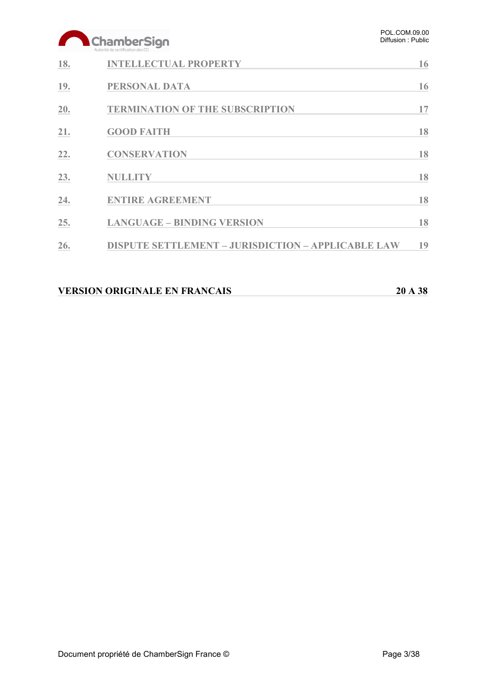# ChamberSign

|     | Autorité de certification des CCI                         |    |
|-----|-----------------------------------------------------------|----|
| 18. | <b>INTELLECTUAL PROPERTY</b>                              | 16 |
| 19. | PERSONAL DATA                                             | 16 |
| 20. | <b>TERMINATION OF THE SUBSCRIPTION</b>                    | 17 |
| 21. | <b>GOOD FAITH</b>                                         | 18 |
| 22. | <b>CONSERVATION</b>                                       | 18 |
| 23. | <b>NULLITY</b>                                            | 18 |
| 24. | <b>ENTIRE AGREEMENT</b>                                   | 18 |
| 25. | <b>LANGUAGE - BINDING VERSION</b>                         | 18 |
| 26. | <b>DISPUTE SETTLEMENT - JURISDICTION - APPLICABLE LAW</b> | 19 |
|     |                                                           |    |

### **VERSION ORIGINALE EN FRANCAIS 20 A 38**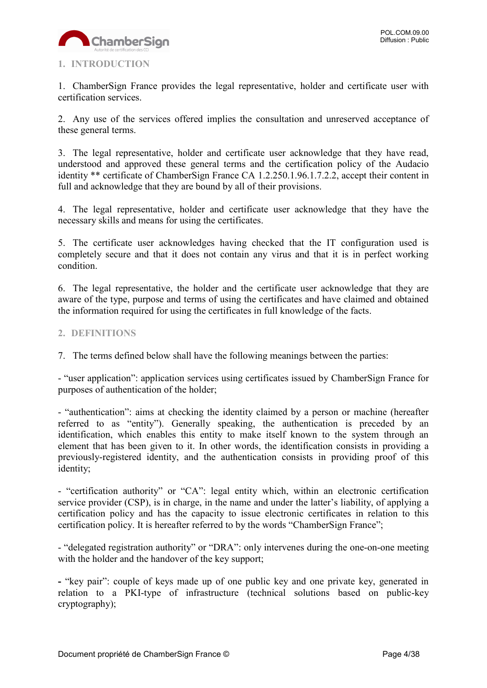

#### <span id="page-3-0"></span>**1. INTRODUCTION**

1. ChamberSign France provides the legal representative, holder and certificate user with certification services.

2. Any use of the services offered implies the consultation and unreserved acceptance of these general terms.

3. The legal representative, holder and certificate user acknowledge that they have read, understood and approved these general terms and the certification policy of the Audacio identity \*\* certificate of ChamberSign France CA 1.2.250.1.96.1.7.2.2, accept their content in full and acknowledge that they are bound by all of their provisions.

4. The legal representative, holder and certificate user acknowledge that they have the necessary skills and means for using the certificates.

5. The certificate user acknowledges having checked that the IT configuration used is completely secure and that it does not contain any virus and that it is in perfect working condition.

6. The legal representative, the holder and the certificate user acknowledge that they are aware of the type, purpose and terms of using the certificates and have claimed and obtained the information required for using the certificates in full knowledge of the facts.

#### <span id="page-3-1"></span>**2. DEFINITIONS**

7. The terms defined below shall have the following meanings between the parties:

- "user application": application services using certificates issued by ChamberSign France for purposes of authentication of the holder;

- "authentication": aims at checking the identity claimed by a person or machine (hereafter referred to as "entity"). Generally speaking, the authentication is preceded by an identification, which enables this entity to make itself known to the system through an element that has been given to it. In other words, the identification consists in providing a previously-registered identity, and the authentication consists in providing proof of this identity;

- "certification authority" or "CA": legal entity which, within an electronic certification service provider (CSP), is in charge, in the name and under the latter's liability, of applying a certification policy and has the capacity to issue electronic certificates in relation to this certification policy. It is hereafter referred to by the words "ChamberSign France";

- "delegated registration authority" or "DRA": only intervenes during the one-on-one meeting with the holder and the handover of the key support;

**-** "key pair": couple of keys made up of one public key and one private key, generated in relation to a PKI-type of infrastructure (technical solutions based on public-key cryptography);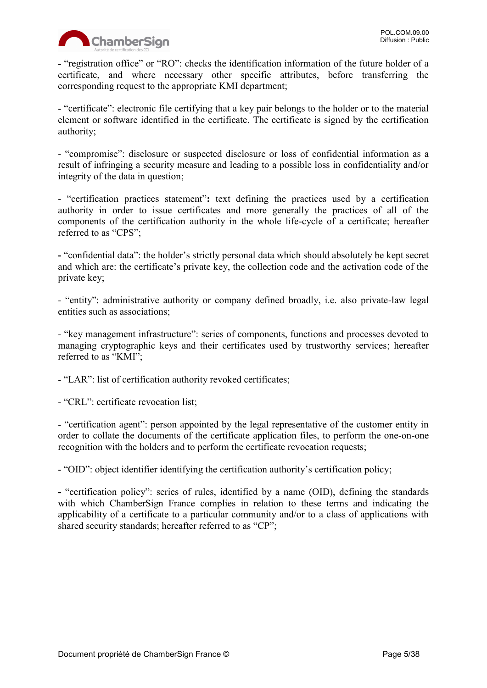

**-** "registration office" or "RO": checks the identification information of the future holder of a certificate, and where necessary other specific attributes, before transferring the corresponding request to the appropriate KMI department;

- "certificate": electronic file certifying that a key pair belongs to the holder or to the material element or software identified in the certificate. The certificate is signed by the certification authority;

- "compromise": disclosure or suspected disclosure or loss of confidential information as a result of infringing a security measure and leading to a possible loss in confidentiality and/or integrity of the data in question;

- "certification practices statement"**:** text defining the practices used by a certification authority in order to issue certificates and more generally the practices of all of the components of the certification authority in the whole life-cycle of a certificate; hereafter referred to as "CPS";

**-** "confidential data": the holder's strictly personal data which should absolutely be kept secret and which are: the certificate's private key, the collection code and the activation code of the private key;

- "entity": administrative authority or company defined broadly, i.e. also private-law legal entities such as associations;

- "key management infrastructure": series of components, functions and processes devoted to managing cryptographic keys and their certificates used by trustworthy services; hereafter referred to as "KMI";

- "LAR": list of certification authority revoked certificates;

- "CRL": certificate revocation list;

- "certification agent": person appointed by the legal representative of the customer entity in order to collate the documents of the certificate application files, to perform the one-on-one recognition with the holders and to perform the certificate revocation requests;

- "OID": object identifier identifying the certification authority's certification policy;

**-** "certification policy": series of rules, identified by a name (OID), defining the standards with which ChamberSign France complies in relation to these terms and indicating the applicability of a certificate to a particular community and/or to a class of applications with shared security standards; hereafter referred to as "CP";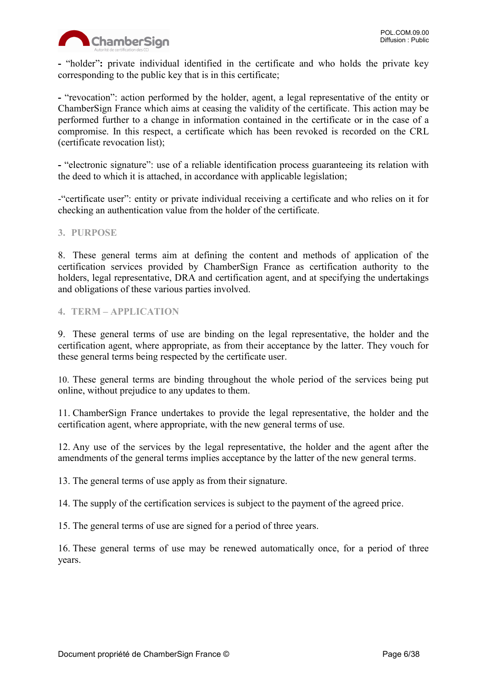

**-** "holder"**:** private individual identified in the certificate and who holds the private key corresponding to the public key that is in this certificate;

**-** "revocation": action performed by the holder, agent, a legal representative of the entity or ChamberSign France which aims at ceasing the validity of the certificate. This action may be performed further to a change in information contained in the certificate or in the case of a compromise. In this respect, a certificate which has been revoked is recorded on the CRL (certificate revocation list);

**-** "electronic signature": use of a reliable identification process guaranteeing its relation with the deed to which it is attached, in accordance with applicable legislation;

-"certificate user": entity or private individual receiving a certificate and who relies on it for checking an authentication value from the holder of the certificate.

#### <span id="page-5-0"></span>**3. PURPOSE**

8. These general terms aim at defining the content and methods of application of the certification services provided by ChamberSign France as certification authority to the holders, legal representative, DRA and certification agent, and at specifying the undertakings and obligations of these various parties involved.

#### <span id="page-5-1"></span>**4. TERM – APPLICATION**

9. These general terms of use are binding on the legal representative, the holder and the certification agent, where appropriate, as from their acceptance by the latter. They vouch for these general terms being respected by the certificate user.

10. These general terms are binding throughout the whole period of the services being put online, without prejudice to any updates to them.

11. ChamberSign France undertakes to provide the legal representative, the holder and the certification agent, where appropriate, with the new general terms of use.

12. Any use of the services by the legal representative, the holder and the agent after the amendments of the general terms implies acceptance by the latter of the new general terms.

13. The general terms of use apply as from their signature.

14. The supply of the certification services is subject to the payment of the agreed price.

15. The general terms of use are signed for a period of three years.

16. These general terms of use may be renewed automatically once, for a period of three years.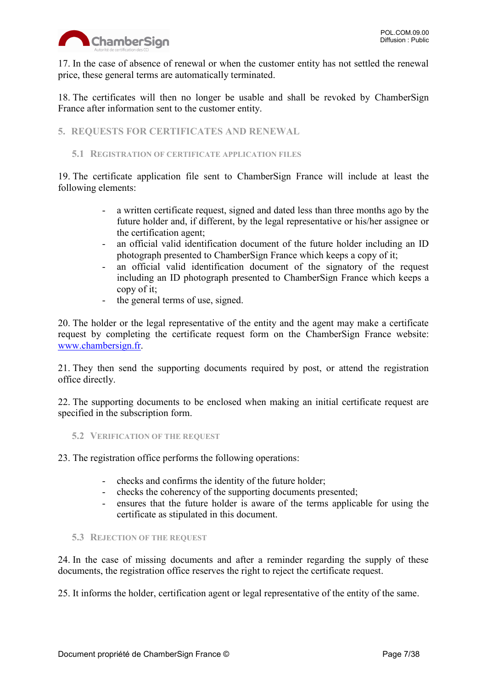

17. In the case of absence of renewal or when the customer entity has not settled the renewal price, these general terms are automatically terminated.

18. The certificates will then no longer be usable and shall be revoked by ChamberSign France after information sent to the customer entity.

<span id="page-6-0"></span>**5. REQUESTS FOR CERTIFICATES AND RENEWAL**

#### <span id="page-6-1"></span>**5.1 REGISTRATION OF CERTIFICATE APPLICATION FILES**

19. The certificate application file sent to ChamberSign France will include at least the following elements:

- a written certificate request, signed and dated less than three months ago by the future holder and, if different, by the legal representative or his/her assignee or the certification agent;
- an official valid identification document of the future holder including an ID photograph presented to ChamberSign France which keeps a copy of it;
- an official valid identification document of the signatory of the request including an ID photograph presented to ChamberSign France which keeps a copy of it;
- the general terms of use, signed.

20. The holder or the legal representative of the entity and the agent may make a certificate request by completing the certificate request form on the ChamberSign France website: [www.chambersign.fr.](http://www.chambersign.fr/)

21. They then send the supporting documents required by post, or attend the registration office directly.

22. The supporting documents to be enclosed when making an initial certificate request are specified in the subscription form.

<span id="page-6-2"></span>**5.2 VERIFICATION OF THE REQUEST**

23. The registration office performs the following operations:

- checks and confirms the identity of the future holder;
- checks the coherency of the supporting documents presented;
- ensures that the future holder is aware of the terms applicable for using the certificate as stipulated in this document.

#### <span id="page-6-3"></span>**5.3 REJECTION OF THE REQUEST**

24. In the case of missing documents and after a reminder regarding the supply of these documents, the registration office reserves the right to reject the certificate request.

25. It informs the holder, certification agent or legal representative of the entity of the same.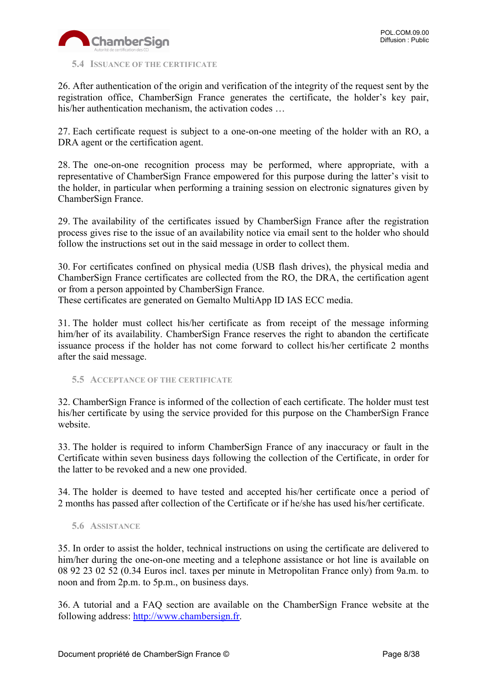

#### <span id="page-7-0"></span>**5.4 ISSUANCE OF THE CERTIFICATE**

26. After authentication of the origin and verification of the integrity of the request sent by the registration office, ChamberSign France generates the certificate, the holder's key pair, his/her authentication mechanism, the activation codes ...

27. Each certificate request is subject to a one-on-one meeting of the holder with an RO, a DRA agent or the certification agent.

28. The one-on-one recognition process may be performed, where appropriate, with a representative of ChamberSign France empowered for this purpose during the latter's visit to the holder, in particular when performing a training session on electronic signatures given by ChamberSign France.

29. The availability of the certificates issued by ChamberSign France after the registration process gives rise to the issue of an availability notice via email sent to the holder who should follow the instructions set out in the said message in order to collect them.

30. For certificates confined on physical media (USB flash drives), the physical media and ChamberSign France certificates are collected from the RO, the DRA, the certification agent or from a person appointed by ChamberSign France.

These certificates are generated on Gemalto MultiApp ID IAS ECC media.

31. The holder must collect his/her certificate as from receipt of the message informing him/her of its availability. ChamberSign France reserves the right to abandon the certificate issuance process if the holder has not come forward to collect his/her certificate 2 months after the said message.

<span id="page-7-1"></span>**5.5 ACCEPTANCE OF THE CERTIFICATE**

32. ChamberSign France is informed of the collection of each certificate. The holder must test his/her certificate by using the service provided for this purpose on the ChamberSign France website.

33. The holder is required to inform ChamberSign France of any inaccuracy or fault in the Certificate within seven business days following the collection of the Certificate, in order for the latter to be revoked and a new one provided.

34. The holder is deemed to have tested and accepted his/her certificate once a period of 2 months has passed after collection of the Certificate or if he/she has used his/her certificate.

#### <span id="page-7-2"></span>**5.6 ASSISTANCE**

35. In order to assist the holder, technical instructions on using the certificate are delivered to him/her during the one-on-one meeting and a telephone assistance or hot line is available on 08 92 23 02 52 (0.34 Euros incl. taxes per minute in Metropolitan France only) from 9a.m. to noon and from 2p.m. to 5p.m., on business days.

36. A tutorial and a FAQ section are available on the ChamberSign France website at the following address: [http://www.chambersign.fr.](http://www.chambersign.fr/)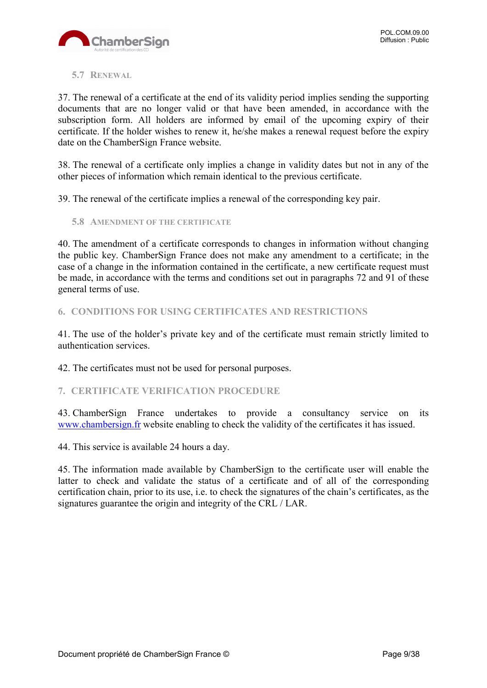

#### <span id="page-8-0"></span>**5.7 RENEWAL**

37. The renewal of a certificate at the end of its validity period implies sending the supporting documents that are no longer valid or that have been amended, in accordance with the subscription form. All holders are informed by email of the upcoming expiry of their certificate. If the holder wishes to renew it, he/she makes a renewal request before the expiry date on the ChamberSign France website.

38. The renewal of a certificate only implies a change in validity dates but not in any of the other pieces of information which remain identical to the previous certificate.

39. The renewal of the certificate implies a renewal of the corresponding key pair.

<span id="page-8-1"></span>**5.8 AMENDMENT OF THE CERTIFICATE**

40. The amendment of a certificate corresponds to changes in information without changing the public key. ChamberSign France does not make any amendment to a certificate; in the case of a change in the information contained in the certificate, a new certificate request must be made, in accordance with the terms and conditions set out in paragraphs 72 and 91 of these general terms of use.

<span id="page-8-2"></span>**6. CONDITIONS FOR USING CERTIFICATES AND RESTRICTIONS**

41. The use of the holder's private key and of the certificate must remain strictly limited to authentication services.

42. The certificates must not be used for personal purposes.

<span id="page-8-3"></span>**7. CERTIFICATE VERIFICATION PROCEDURE**

43. ChamberSign France undertakes to provide a consultancy service on its [www.chambersign.fr](http://www.chambersign.fr/) website enabling to check the validity of the certificates it has issued.

44. This service is available 24 hours a day.

45. The information made available by ChamberSign to the certificate user will enable the latter to check and validate the status of a certificate and of all of the corresponding certification chain, prior to its use, i.e. to check the signatures of the chain's certificates, as the signatures guarantee the origin and integrity of the CRL / LAR.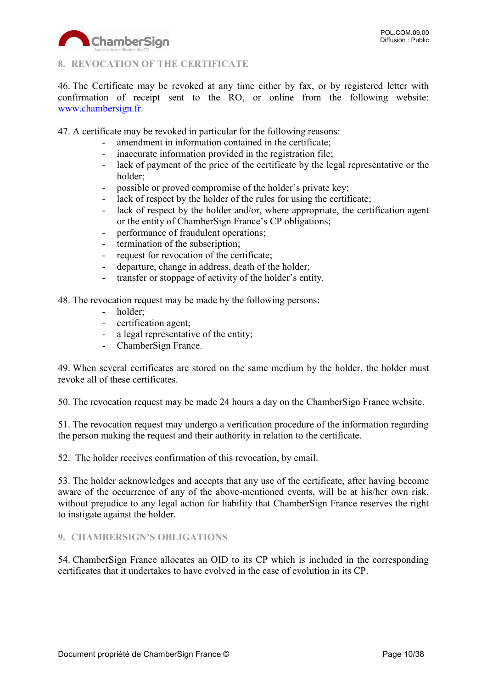

#### <span id="page-9-0"></span>**8. REVOCATION OF THE CERTIFICATE**

46. The Certificate may be revoked at any time either by fax, or by registered letter with confirmation of receipt sent to the RO, or online from the following website: [www.chambersign.fr.](http://www.chambersign.fr/)

47. A certificate may be revoked in particular for the following reasons:

- amendment in information contained in the certificate:
- inaccurate information provided in the registration file;
- lack of payment of the price of the certificate by the legal representative or the holder;
- possible or proved compromise of the holder's private key;
- lack of respect by the holder of the rules for using the certificate;
- lack of respect by the holder and/or, where appropriate, the certification agent or the entity of ChamberSign France's CP obligations;
- performance of fraudulent operations;
- termination of the subscription;
- request for revocation of the certificate;
- departure, change in address, death of the holder;
- transfer or stoppage of activity of the holder's entity.

48. The revocation request may be made by the following persons:

- holder;
- certification agent;
- a legal representative of the entity;
- ChamberSign France.

49. When several certificates are stored on the same medium by the holder, the holder must revoke all of these certificates.

50. The revocation request may be made 24 hours a day on the ChamberSign France website.

51. The revocation request may undergo a verification procedure of the information regarding the person making the request and their authority in relation to the certificate.

52. The holder receives confirmation of this revocation, by email.

53. The holder acknowledges and accepts that any use of the certificate, after having become aware of the occurrence of any of the above-mentioned events, will be at his/her own risk, without prejudice to any legal action for liability that ChamberSign France reserves the right to instigate against the holder.

#### <span id="page-9-1"></span>**9. CHAMBERSIGN'S OBLIGATIONS**

54. ChamberSign France allocates an OID to its CP which is included in the corresponding certificates that it undertakes to have evolved in the case of evolution in its CP.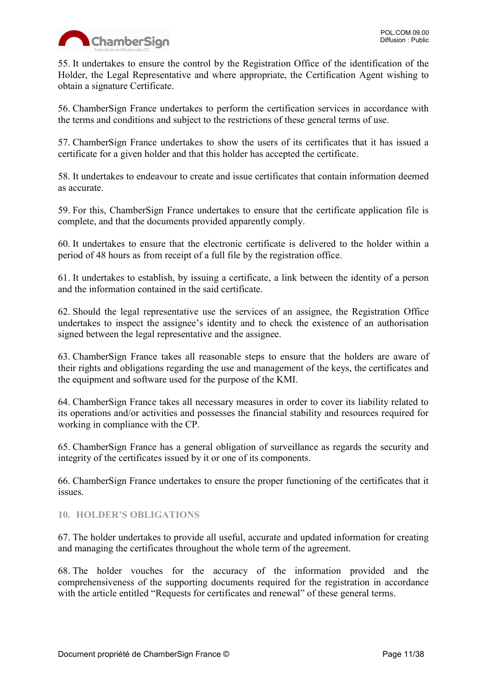

55. It undertakes to ensure the control by the Registration Office of the identification of the Holder, the Legal Representative and where appropriate, the Certification Agent wishing to obtain a signature Certificate.

56. ChamberSign France undertakes to perform the certification services in accordance with the terms and conditions and subject to the restrictions of these general terms of use.

57. ChamberSign France undertakes to show the users of its certificates that it has issued a certificate for a given holder and that this holder has accepted the certificate.

58. It undertakes to endeavour to create and issue certificates that contain information deemed as accurate.

59. For this, ChamberSign France undertakes to ensure that the certificate application file is complete, and that the documents provided apparently comply.

60. It undertakes to ensure that the electronic certificate is delivered to the holder within a period of 48 hours as from receipt of a full file by the registration office.

61. It undertakes to establish, by issuing a certificate, a link between the identity of a person and the information contained in the said certificate.

62. Should the legal representative use the services of an assignee, the Registration Office undertakes to inspect the assignee's identity and to check the existence of an authorisation signed between the legal representative and the assignee.

63. ChamberSign France takes all reasonable steps to ensure that the holders are aware of their rights and obligations regarding the use and management of the keys, the certificates and the equipment and software used for the purpose of the KMI.

64. ChamberSign France takes all necessary measures in order to cover its liability related to its operations and/or activities and possesses the financial stability and resources required for working in compliance with the CP.

65. ChamberSign France has a general obligation of surveillance as regards the security and integrity of the certificates issued by it or one of its components.

66. ChamberSign France undertakes to ensure the proper functioning of the certificates that it issues.

#### <span id="page-10-0"></span>**10. HOLDER'S OBLIGATIONS**

67. The holder undertakes to provide all useful, accurate and updated information for creating and managing the certificates throughout the whole term of the agreement.

68. The holder vouches for the accuracy of the information provided and the comprehensiveness of the supporting documents required for the registration in accordance with the article entitled "Requests for certificates and renewal" of these general terms.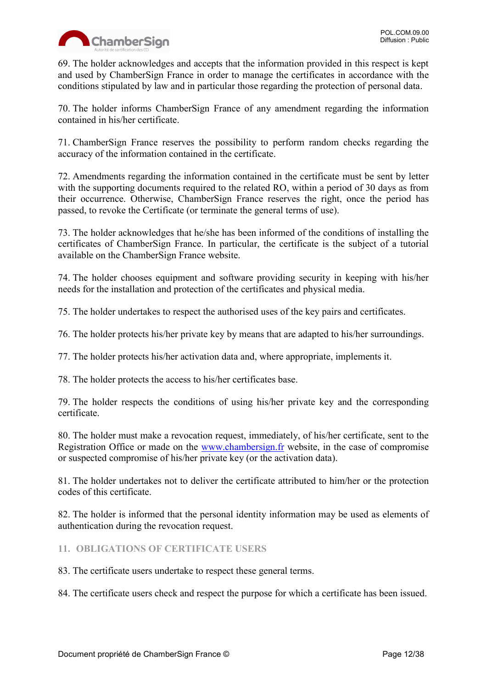

69. The holder acknowledges and accepts that the information provided in this respect is kept and used by ChamberSign France in order to manage the certificates in accordance with the conditions stipulated by law and in particular those regarding the protection of personal data.

70. The holder informs ChamberSign France of any amendment regarding the information contained in his/her certificate.

71. ChamberSign France reserves the possibility to perform random checks regarding the accuracy of the information contained in the certificate.

72. Amendments regarding the information contained in the certificate must be sent by letter with the supporting documents required to the related RO, within a period of 30 days as from their occurrence. Otherwise, ChamberSign France reserves the right, once the period has passed, to revoke the Certificate (or terminate the general terms of use).

73. The holder acknowledges that he/she has been informed of the conditions of installing the certificates of ChamberSign France. In particular, the certificate is the subject of a tutorial available on the ChamberSign France website.

74. The holder chooses equipment and software providing security in keeping with his/her needs for the installation and protection of the certificates and physical media.

75. The holder undertakes to respect the authorised uses of the key pairs and certificates.

76. The holder protects his/her private key by means that are adapted to his/her surroundings.

77. The holder protects his/her activation data and, where appropriate, implements it.

78. The holder protects the access to his/her certificates base.

79. The holder respects the conditions of using his/her private key and the corresponding certificate.

80. The holder must make a revocation request, immediately, of his/her certificate, sent to the Registration Office or made on the [www.chambersign.fr](http://www.chambersign.fr/) website, in the case of compromise or suspected compromise of his/her private key (or the activation data).

81. The holder undertakes not to deliver the certificate attributed to him/her or the protection codes of this certificate.

82. The holder is informed that the personal identity information may be used as elements of authentication during the revocation request.

<span id="page-11-0"></span>**11. OBLIGATIONS OF CERTIFICATE USERS**

83. The certificate users undertake to respect these general terms.

84. The certificate users check and respect the purpose for which a certificate has been issued.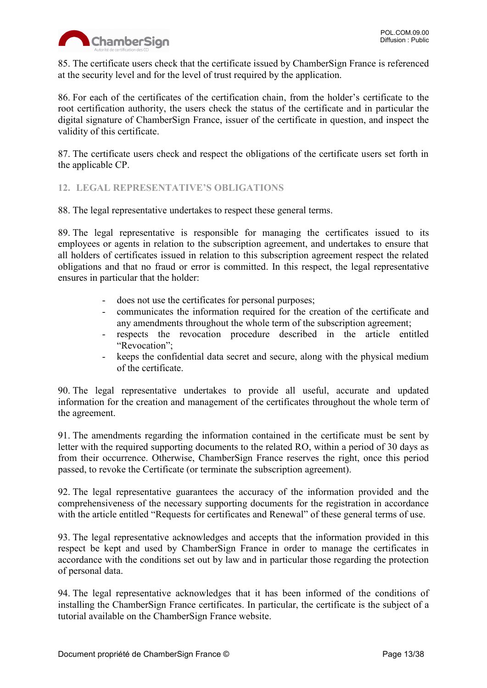85. The certificate users check that the certificate issued by ChamberSign France is referenced at the security level and for the level of trust required by the application.

86. For each of the certificates of the certification chain, from the holder's certificate to the root certification authority, the users check the status of the certificate and in particular the digital signature of ChamberSign France, issuer of the certificate in question, and inspect the validity of this certificate.

87. The certificate users check and respect the obligations of the certificate users set forth in the applicable CP.

#### <span id="page-12-0"></span>**12. LEGAL REPRESENTATIVE'S OBLIGATIONS**

88. The legal representative undertakes to respect these general terms.

89. The legal representative is responsible for managing the certificates issued to its employees or agents in relation to the subscription agreement, and undertakes to ensure that all holders of certificates issued in relation to this subscription agreement respect the related obligations and that no fraud or error is committed. In this respect, the legal representative ensures in particular that the holder:

- does not use the certificates for personal purposes;
- communicates the information required for the creation of the certificate and any amendments throughout the whole term of the subscription agreement;
- respects the revocation procedure described in the article entitled "Revocation";
- keeps the confidential data secret and secure, along with the physical medium of the certificate.

90. The legal representative undertakes to provide all useful, accurate and updated information for the creation and management of the certificates throughout the whole term of the agreement.

91. The amendments regarding the information contained in the certificate must be sent by letter with the required supporting documents to the related RO, within a period of 30 days as from their occurrence. Otherwise, ChamberSign France reserves the right, once this period passed, to revoke the Certificate (or terminate the subscription agreement).

92. The legal representative guarantees the accuracy of the information provided and the comprehensiveness of the necessary supporting documents for the registration in accordance with the article entitled "Requests for certificates and Renewal" of these general terms of use.

93. The legal representative acknowledges and accepts that the information provided in this respect be kept and used by ChamberSign France in order to manage the certificates in accordance with the conditions set out by law and in particular those regarding the protection of personal data.

94. The legal representative acknowledges that it has been informed of the conditions of installing the ChamberSign France certificates. In particular, the certificate is the subject of a tutorial available on the ChamberSign France website.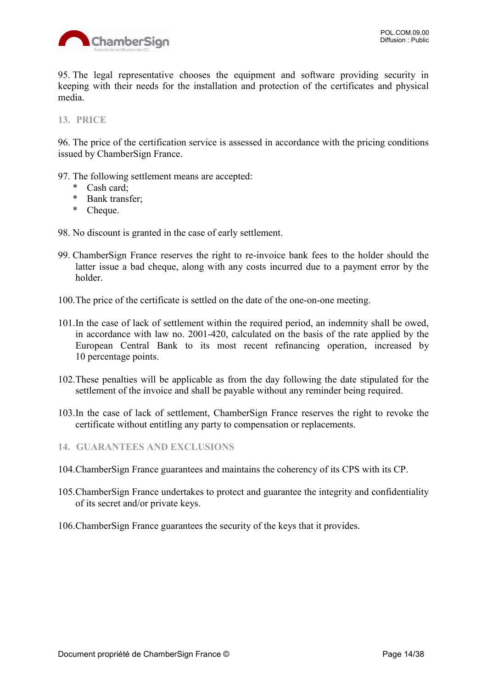

95. The legal representative chooses the equipment and software providing security in keeping with their needs for the installation and protection of the certificates and physical media.

#### <span id="page-13-0"></span>**13. PRICE**

96. The price of the certification service is assessed in accordance with the pricing conditions issued by ChamberSign France.

- 97. The following settlement means are accepted:
	- \* Cash card;
	- \* Bank transfer;
	- \* Cheque.
- 98. No discount is granted in the case of early settlement.
- 99. ChamberSign France reserves the right to re-invoice bank fees to the holder should the latter issue a bad cheque, along with any costs incurred due to a payment error by the holder.
- 100.The price of the certificate is settled on the date of the one-on-one meeting.
- 101.In the case of lack of settlement within the required period, an indemnity shall be owed, in accordance with law no. 2001-420, calculated on the basis of the rate applied by the European Central Bank to its most recent refinancing operation, increased by 10 percentage points.
- 102.These penalties will be applicable as from the day following the date stipulated for the settlement of the invoice and shall be payable without any reminder being required.
- 103.In the case of lack of settlement, ChamberSign France reserves the right to revoke the certificate without entitling any party to compensation or replacements.
- <span id="page-13-1"></span>**14. GUARANTEES AND EXCLUSIONS**
- 104.ChamberSign France guarantees and maintains the coherency of its CPS with its CP.
- 105.ChamberSign France undertakes to protect and guarantee the integrity and confidentiality of its secret and/or private keys.
- 106.ChamberSign France guarantees the security of the keys that it provides.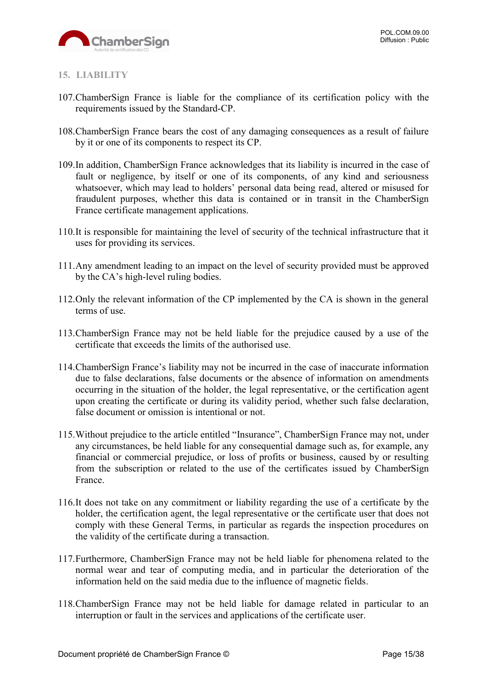

#### <span id="page-14-0"></span>**15. LIABILITY**

- 107.ChamberSign France is liable for the compliance of its certification policy with the requirements issued by the Standard-CP.
- 108.ChamberSign France bears the cost of any damaging consequences as a result of failure by it or one of its components to respect its CP.
- 109.In addition, ChamberSign France acknowledges that its liability is incurred in the case of fault or negligence, by itself or one of its components, of any kind and seriousness whatsoever, which may lead to holders' personal data being read, altered or misused for fraudulent purposes, whether this data is contained or in transit in the ChamberSign France certificate management applications.
- 110.It is responsible for maintaining the level of security of the technical infrastructure that it uses for providing its services.
- 111.Any amendment leading to an impact on the level of security provided must be approved by the CA's high-level ruling bodies.
- 112.Only the relevant information of the CP implemented by the CA is shown in the general terms of use.
- 113.ChamberSign France may not be held liable for the prejudice caused by a use of the certificate that exceeds the limits of the authorised use.
- 114.ChamberSign France's liability may not be incurred in the case of inaccurate information due to false declarations, false documents or the absence of information on amendments occurring in the situation of the holder, the legal representative, or the certification agent upon creating the certificate or during its validity period, whether such false declaration, false document or omission is intentional or not.
- 115.Without prejudice to the article entitled "Insurance", ChamberSign France may not, under any circumstances, be held liable for any consequential damage such as, for example, any financial or commercial prejudice, or loss of profits or business, caused by or resulting from the subscription or related to the use of the certificates issued by ChamberSign France.
- 116.It does not take on any commitment or liability regarding the use of a certificate by the holder, the certification agent, the legal representative or the certificate user that does not comply with these General Terms, in particular as regards the inspection procedures on the validity of the certificate during a transaction.
- 117.Furthermore, ChamberSign France may not be held liable for phenomena related to the normal wear and tear of computing media, and in particular the deterioration of the information held on the said media due to the influence of magnetic fields.
- 118.ChamberSign France may not be held liable for damage related in particular to an interruption or fault in the services and applications of the certificate user.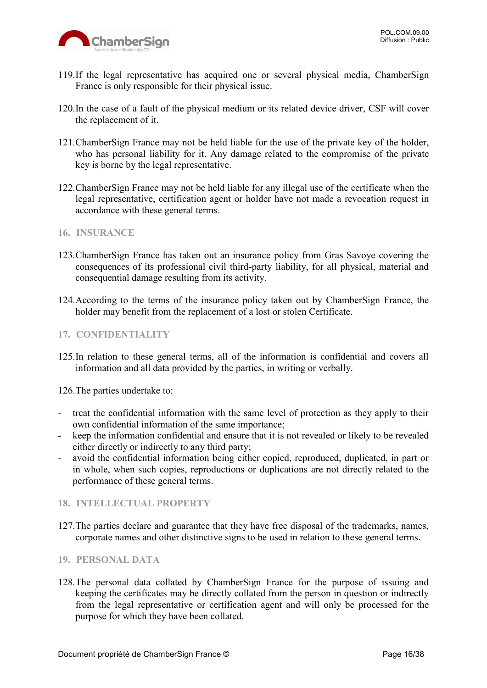

- 119.If the legal representative has acquired one or several physical media, ChamberSign France is only responsible for their physical issue.
- 120.In the case of a fault of the physical medium or its related device driver, CSF will cover the replacement of it.
- 121.ChamberSign France may not be held liable for the use of the private key of the holder, who has personal liability for it. Any damage related to the compromise of the private key is borne by the legal representative.
- 122.ChamberSign France may not be held liable for any illegal use of the certificate when the legal representative, certification agent or holder have not made a revocation request in accordance with these general terms.
- <span id="page-15-0"></span>**16. INSURANCE**
- 123.ChamberSign France has taken out an insurance policy from Gras Savoye covering the consequences of its professional civil third-party liability, for all physical, material and consequential damage resulting from its activity.
- 124.According to the terms of the insurance policy taken out by ChamberSign France, the holder may benefit from the replacement of a lost or stolen Certificate.

#### <span id="page-15-1"></span>**17. CONFIDENTIALITY**

125.In relation to these general terms, all of the information is confidential and covers all information and all data provided by the parties, in writing or verbally.

126.The parties undertake to:

- treat the confidential information with the same level of protection as they apply to their own confidential information of the same importance;
- keep the information confidential and ensure that it is not revealed or likely to be revealed either directly or indirectly to any third party;
- avoid the confidential information being either copied, reproduced, duplicated, in part or in whole, when such copies, reproductions or duplications are not directly related to the performance of these general terms.

#### <span id="page-15-2"></span>**18. INTELLECTUAL PROPERTY**

127.The parties declare and guarantee that they have free disposal of the trademarks, names, corporate names and other distinctive signs to be used in relation to these general terms.

#### <span id="page-15-3"></span>**19. PERSONAL DATA**

128.The personal data collated by ChamberSign France for the purpose of issuing and keeping the certificates may be directly collated from the person in question or indirectly from the legal representative or certification agent and will only be processed for the purpose for which they have been collated.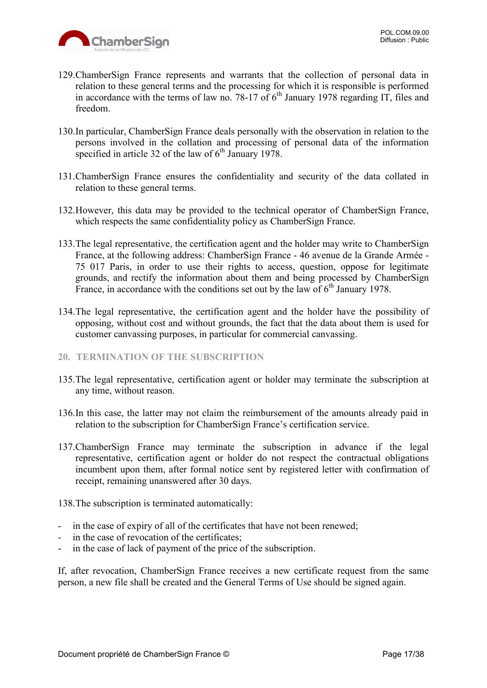

- 129.ChamberSign France represents and warrants that the collection of personal data in relation to these general terms and the processing for which it is responsible is performed in accordance with the terms of law no.  $78-17$  of  $6<sup>th</sup>$  January 1978 regarding IT, files and freedom.
- 130.In particular, ChamberSign France deals personally with the observation in relation to the persons involved in the collation and processing of personal data of the information specified in article 32 of the law of  $6<sup>th</sup>$  January 1978.
- 131.ChamberSign France ensures the confidentiality and security of the data collated in relation to these general terms.
- 132.However, this data may be provided to the technical operator of ChamberSign France, which respects the same confidentiality policy as ChamberSign France.
- 133.The legal representative, the certification agent and the holder may write to ChamberSign France, at the following address: ChamberSign France - 46 avenue de la Grande Armée - 75 017 Paris, in order to use their rights to access, question, oppose for legitimate grounds, and rectify the information about them and being processed by ChamberSign France, in accordance with the conditions set out by the law of  $6<sup>th</sup>$  January 1978.
- 134.The legal representative, the certification agent and the holder have the possibility of opposing, without cost and without grounds, the fact that the data about them is used for customer canvassing purposes, in particular for commercial canvassing.

#### <span id="page-16-0"></span>**20. TERMINATION OF THE SUBSCRIPTION**

- 135.The legal representative, certification agent or holder may terminate the subscription at any time, without reason.
- 136.In this case, the latter may not claim the reimbursement of the amounts already paid in relation to the subscription for ChamberSign France's certification service.
- 137.ChamberSign France may terminate the subscription in advance if the legal representative, certification agent or holder do not respect the contractual obligations incumbent upon them, after formal notice sent by registered letter with confirmation of receipt, remaining unanswered after 30 days.

138.The subscription is terminated automatically:

- in the case of expiry of all of the certificates that have not been renewed;
- in the case of revocation of the certificates;
- in the case of lack of payment of the price of the subscription.

If, after revocation, ChamberSign France receives a new certificate request from the same person, a new file shall be created and the General Terms of Use should be signed again.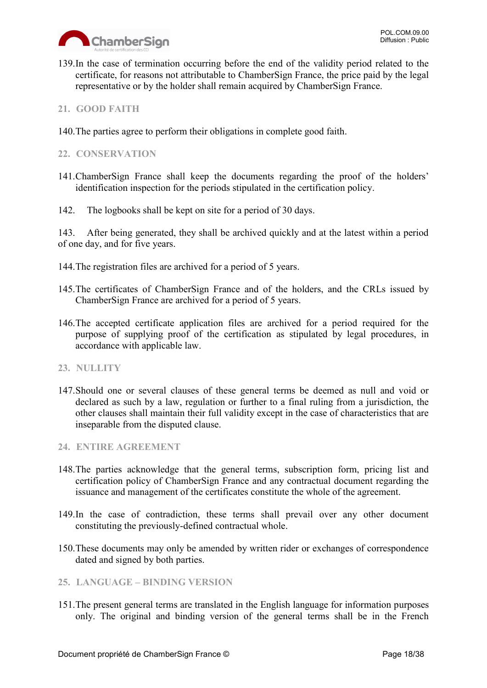

- 139.In the case of termination occurring before the end of the validity period related to the certificate, for reasons not attributable to ChamberSign France, the price paid by the legal representative or by the holder shall remain acquired by ChamberSign France.
- <span id="page-17-0"></span>**21. GOOD FAITH**
- 140.The parties agree to perform their obligations in complete good faith.

#### <span id="page-17-1"></span>**22. CONSERVATION**

- 141.ChamberSign France shall keep the documents regarding the proof of the holders' identification inspection for the periods stipulated in the certification policy.
- 142. The logbooks shall be kept on site for a period of 30 days.

143. After being generated, they shall be archived quickly and at the latest within a period of one day, and for five years.

- 144.The registration files are archived for a period of 5 years.
- 145.The certificates of ChamberSign France and of the holders, and the CRLs issued by ChamberSign France are archived for a period of 5 years.
- 146.The accepted certificate application files are archived for a period required for the purpose of supplying proof of the certification as stipulated by legal procedures, in accordance with applicable law.

#### <span id="page-17-2"></span>**23. NULLITY**

147.Should one or several clauses of these general terms be deemed as null and void or declared as such by a law, regulation or further to a final ruling from a jurisdiction, the other clauses shall maintain their full validity except in the case of characteristics that are inseparable from the disputed clause.

#### <span id="page-17-3"></span>**24. ENTIRE AGREEMENT**

- 148.The parties acknowledge that the general terms, subscription form, pricing list and certification policy of ChamberSign France and any contractual document regarding the issuance and management of the certificates constitute the whole of the agreement.
- 149.In the case of contradiction, these terms shall prevail over any other document constituting the previously-defined contractual whole.
- 150.These documents may only be amended by written rider or exchanges of correspondence dated and signed by both parties.

#### <span id="page-17-4"></span>**25. LANGUAGE – BINDING VERSION**

151.The present general terms are translated in the English language for information purposes only. The original and binding version of the general terms shall be in the French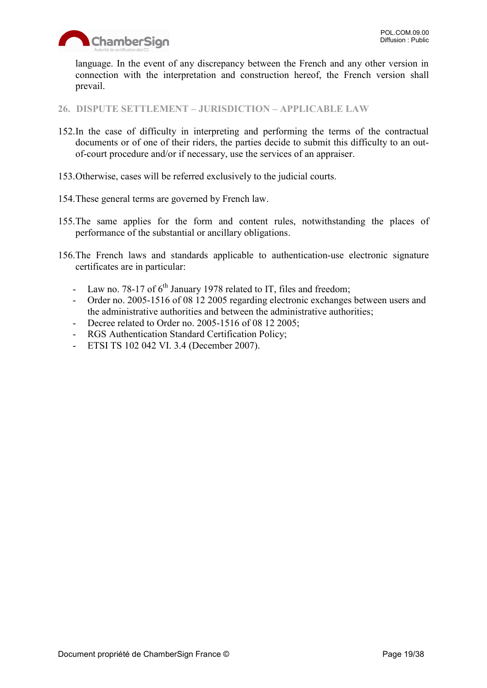

language. In the event of any discrepancy between the French and any other version in connection with the interpretation and construction hereof, the French version shall prevail.

<span id="page-18-0"></span>**26. DISPUTE SETTLEMENT – JURISDICTION – APPLICABLE LAW**

- 152.In the case of difficulty in interpreting and performing the terms of the contractual documents or of one of their riders, the parties decide to submit this difficulty to an outof-court procedure and/or if necessary, use the services of an appraiser.
- 153.Otherwise, cases will be referred exclusively to the judicial courts.
- 154.These general terms are governed by French law.
- 155.The same applies for the form and content rules, notwithstanding the places of performance of the substantial or ancillary obligations.
- 156.The French laws and standards applicable to authentication-use electronic signature certificates are in particular:
	- Law no. 78-17 of  $6<sup>th</sup>$  January 1978 related to IT, files and freedom;
	- Order no. 2005-1516 of 08 12 2005 regarding electronic exchanges between users and the administrative authorities and between the administrative authorities;
	- Decree related to Order no. 2005-1516 of 08 12 2005;
	- RGS Authentication Standard Certification Policy;
	- ETSI TS 102 042 VI. 3.4 (December 2007).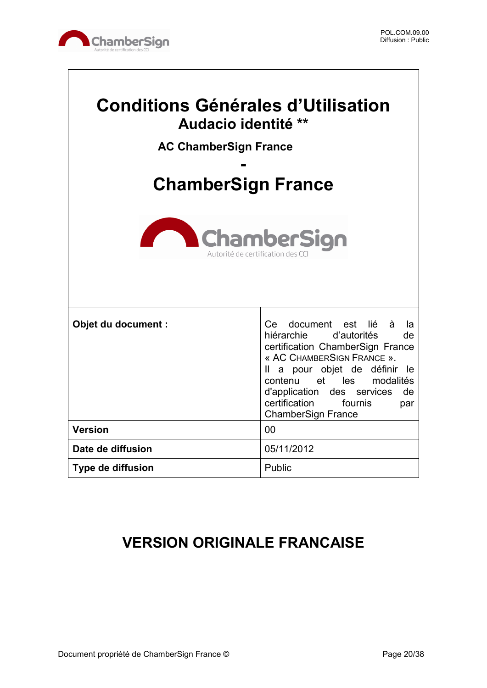

 $\sqrt{ }$ 

| <b>Conditions Générales d'Utilisation</b><br>Audacio identité **<br><b>AC ChamberSign France</b><br><b>ChamberSign France</b> |                                                                                                                                                                                                                                                                                                       |  |  |
|-------------------------------------------------------------------------------------------------------------------------------|-------------------------------------------------------------------------------------------------------------------------------------------------------------------------------------------------------------------------------------------------------------------------------------------------------|--|--|
| <b>ChamberSign</b><br>Autorité de certification de                                                                            |                                                                                                                                                                                                                                                                                                       |  |  |
| Objet du document :                                                                                                           | Ce document est lié à<br>la<br>hiérarchie d'autorités<br>de<br>certification ChamberSign France<br>« AC CHAMBERSIGN FRANCE ».<br>Il a pour objet de définir<br>-le<br>contenu et les modalités<br>d'application<br>des services<br>de<br>certification<br>fournis<br>par<br><b>ChamberSign France</b> |  |  |
| <b>Version</b>                                                                                                                | 00                                                                                                                                                                                                                                                                                                    |  |  |
| Date de diffusion                                                                                                             | 05/11/2012                                                                                                                                                                                                                                                                                            |  |  |
| <b>Type de diffusion</b>                                                                                                      | Public                                                                                                                                                                                                                                                                                                |  |  |

## **VERSION ORIGINALE FRANCAISE**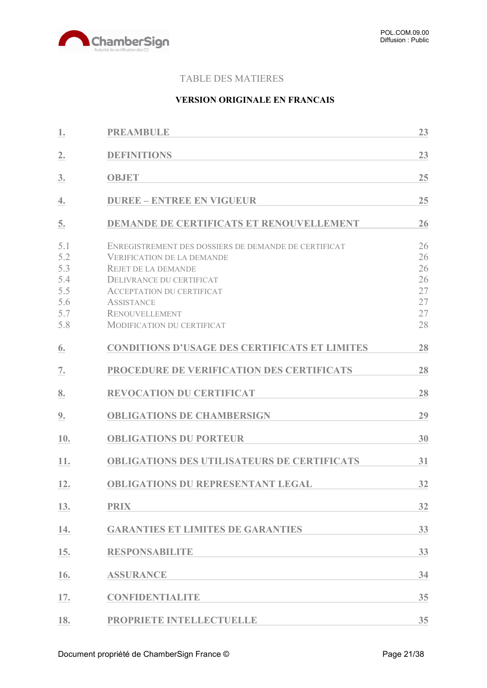

#### TABLE DES MATIERES

#### **VERSION ORIGINALE EN FRANCAIS**

| 1.                                                   | <b>PREAMBULE</b>                                                                                                                                                                                                                                                    | 23                                           |
|------------------------------------------------------|---------------------------------------------------------------------------------------------------------------------------------------------------------------------------------------------------------------------------------------------------------------------|----------------------------------------------|
| 2.                                                   | <b>DEFINITIONS</b>                                                                                                                                                                                                                                                  | 23                                           |
| 3.                                                   | <b>OBJET</b>                                                                                                                                                                                                                                                        | 25                                           |
| 4.                                                   | <b>DUREE - ENTREE EN VIGUEUR</b>                                                                                                                                                                                                                                    | 25                                           |
| 5.                                                   | <b>DEMANDE DE CERTIFICATS ET RENOUVELLEMENT</b>                                                                                                                                                                                                                     | 26                                           |
| 5.1<br>5.2<br>5.3<br>5.4<br>5.5<br>5.6<br>5.7<br>5.8 | ENREGISTREMENT DES DOSSIERS DE DEMANDE DE CERTIFICAT<br><b>VERIFICATION DE LA DEMANDE</b><br><b>REJET DE LA DEMANDE</b><br>DELIVRANCE DU CERTIFICAT<br><b>ACCEPTATION DU CERTIFICAT</b><br><b>ASSISTANCE</b><br><b>RENOUVELLEMENT</b><br>MODIFICATION DU CERTIFICAT | 26<br>26<br>26<br>26<br>27<br>27<br>27<br>28 |
| 6.                                                   | <b>CONDITIONS D'USAGE DES CERTIFICATS ET LIMITES</b>                                                                                                                                                                                                                | 28                                           |
| 7.                                                   | PROCEDURE DE VERIFICATION DES CERTIFICATS                                                                                                                                                                                                                           | 28                                           |
| 8.                                                   | <b>REVOCATION DU CERTIFICAT</b>                                                                                                                                                                                                                                     | 28                                           |
| <u>9.</u>                                            | <b>OBLIGATIONS DE CHAMBERSIGN</b>                                                                                                                                                                                                                                   | 29                                           |
| 10.                                                  | <b>OBLIGATIONS DU PORTEUR</b>                                                                                                                                                                                                                                       | 30                                           |
| 11.                                                  | <b>OBLIGATIONS DES UTILISATEURS DE CERTIFICATS</b>                                                                                                                                                                                                                  | 31                                           |
| 12.                                                  | <b>OBLIGATIONS DU REPRESENTANT LEGAL</b>                                                                                                                                                                                                                            | 32                                           |
| 13.                                                  | <b>PRIX</b>                                                                                                                                                                                                                                                         | 32                                           |
| 14.                                                  | <b>GARANTIES ET LIMITES DE GARANTIES</b>                                                                                                                                                                                                                            | 33                                           |
| 15.                                                  | <b>RESPONSABILITE</b>                                                                                                                                                                                                                                               | 33                                           |
| 16.                                                  | <b>ASSURANCE</b>                                                                                                                                                                                                                                                    | 34                                           |
| 17.                                                  | <b>CONFIDENTIALITE</b>                                                                                                                                                                                                                                              | 35                                           |
| 18.                                                  | PROPRIETE INTELLECTUELLE                                                                                                                                                                                                                                            | 35                                           |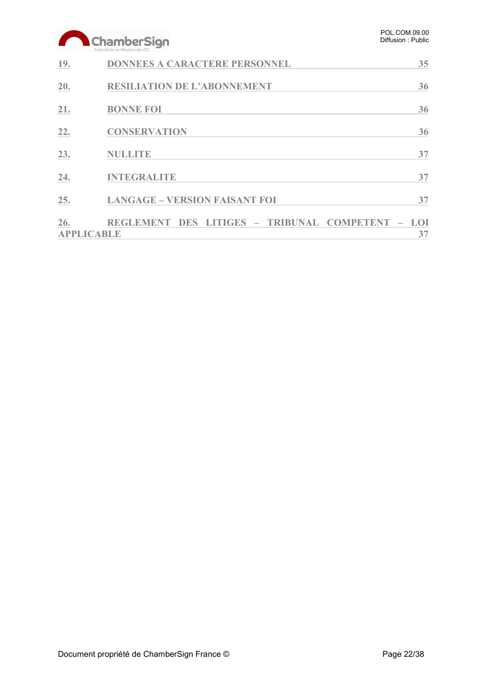|     | ChamberSign<br>Autorité de certification des CCI                          | POL.COM.09.00<br>Diffusion: Public |
|-----|---------------------------------------------------------------------------|------------------------------------|
| 19. | <b>DONNEES A CARACTERE PERSONNEL</b>                                      | 35                                 |
| 20. | <b>RESILIATION DE L'ABONNEMENT</b>                                        | 36                                 |
| 21. | <b>BONNE FOI</b>                                                          | 36                                 |
| 22. | <b>CONSERVATION</b>                                                       | 36                                 |
| 23. | <b>NULLITE</b>                                                            | 37                                 |
| 24. | <b>INTEGRALITE</b>                                                        | 37                                 |
| 25. | <b>LANGAGE - VERSION FAISANT FOI</b>                                      | 37                                 |
| 26. | DES LITIGES - TRIBUNAL COMPETENT<br><b>REGLEMENT</b><br><b>APPLICABLE</b> | <b>LOI</b><br>37                   |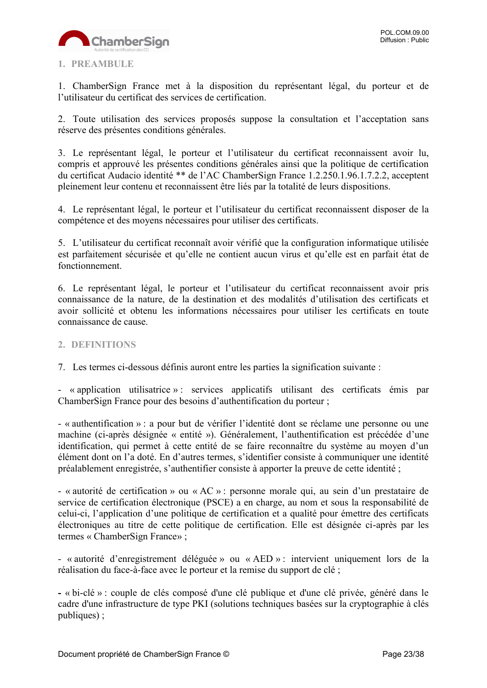

#### <span id="page-22-0"></span>**1. PREAMBULE**

1. ChamberSign France met à la disposition du représentant légal, du porteur et de l'utilisateur du certificat des services de certification.

2. Toute utilisation des services proposés suppose la consultation et l'acceptation sans réserve des présentes conditions générales.

3. Le représentant légal, le porteur et l'utilisateur du certificat reconnaissent avoir lu, compris et approuvé les présentes conditions générales ainsi que la politique de certification du certificat Audacio identité \*\* de l'AC ChamberSign France 1.2.250.1.96.1.7.2.2, acceptent pleinement leur contenu et reconnaissent être liés par la totalité de leurs dispositions.

4. Le représentant légal, le porteur et l'utilisateur du certificat reconnaissent disposer de la compétence et des moyens nécessaires pour utiliser des certificats.

5. L'utilisateur du certificat reconnaît avoir vérifié que la configuration informatique utilisée est parfaitement sécurisée et qu'elle ne contient aucun virus et qu'elle est en parfait état de fonctionnement.

6. Le représentant légal, le porteur et l'utilisateur du certificat reconnaissent avoir pris connaissance de la nature, de la destination et des modalités d'utilisation des certificats et avoir sollicité et obtenu les informations nécessaires pour utiliser les certificats en toute connaissance de cause.

#### <span id="page-22-1"></span>**2. DEFINITIONS**

7. Les termes ci-dessous définis auront entre les parties la signification suivante :

- « application utilisatrice » : services applicatifs utilisant des certificats émis par ChamberSign France pour des besoins d'authentification du porteur ;

- « authentification » : a pour but de vérifier l'identité dont se réclame une personne ou une machine (ci-après désignée « entité »). Généralement, l'authentification est précédée d'une identification, qui permet à cette entité de se faire reconnaître du système au moyen d'un élément dont on l'a doté. En d'autres termes, s'identifier consiste à communiquer une identité préalablement enregistrée, s'authentifier consiste à apporter la preuve de cette identité ;

- « autorité de certification » ou « AC » : personne morale qui, au sein d'un prestataire de service de certification électronique (PSCE) a en charge, au nom et sous la responsabilité de celui-ci, l'application d'une politique de certification et a qualité pour émettre des certificats électroniques au titre de cette politique de certification. Elle est désignée ci-après par les termes « ChamberSign France» ;

- « autorité d'enregistrement déléguée » ou « AED » : intervient uniquement lors de la réalisation du face-à-face avec le porteur et la remise du support de clé ;

**-** « bi-clé » : couple de clés composé d'une clé publique et d'une clé privée, généré dans le cadre d'une infrastructure de type PKI (solutions techniques basées sur la cryptographie à clés publiques) ;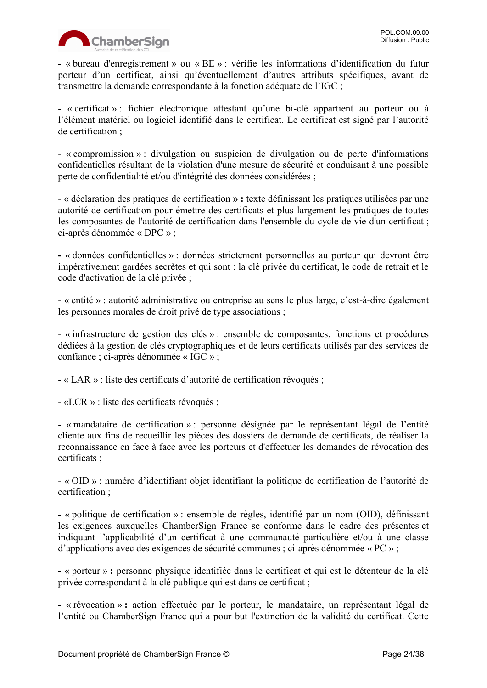

**-** « bureau d'enregistrement » ou « BE » : vérifie les informations d'identification du futur porteur d'un certificat, ainsi qu'éventuellement d'autres attributs spécifiques, avant de transmettre la demande correspondante à la fonction adéquate de l'IGC ;

- « certificat » : fichier électronique attestant qu'une bi-clé appartient au porteur ou à l'élément matériel ou logiciel identifié dans le certificat. Le certificat est signé par l'autorité de certification ;

- « compromission » : divulgation ou suspicion de divulgation ou de perte d'informations confidentielles résultant de la violation d'une mesure de sécurité et conduisant à une possible perte de confidentialité et/ou d'intégrité des données considérées ;

- « déclaration des pratiques de certification **» :** texte définissant les pratiques utilisées par une autorité de certification pour émettre des certificats et plus largement les pratiques de toutes les composantes de l'autorité de certification dans l'ensemble du cycle de vie d'un certificat ; ci-après dénommée « DPC » ;

**-** « données confidentielles » : données strictement personnelles au porteur qui devront être impérativement gardées secrètes et qui sont : la clé privée du certificat, le code de retrait et le code d'activation de la clé privée ;

- « entité » : autorité administrative ou entreprise au sens le plus large, c'est-à-dire également les personnes morales de droit privé de type associations ;

- « infrastructure de gestion des clés » : ensemble de composantes, fonctions et procédures dédiées à la gestion de clés cryptographiques et de leurs certificats utilisés par des services de confiance ; ci-après dénommée « IGC » ;

- « LAR » : liste des certificats d'autorité de certification révoqués ;

- «LCR » : liste des certificats révoqués ;

- « mandataire de certification » : personne désignée par le représentant légal de l'entité cliente aux fins de recueillir les pièces des dossiers de demande de certificats, de réaliser la reconnaissance en face à face avec les porteurs et d'effectuer les demandes de révocation des certificats ;

- « OID » : numéro d'identifiant objet identifiant la politique de certification de l'autorité de certification ;

**-** « politique de certification » : ensemble de règles, identifié par un nom (OID), définissant les exigences auxquelles ChamberSign France se conforme dans le cadre des présentes et indiquant l'applicabilité d'un certificat à une communauté particulière et/ou à une classe d'applications avec des exigences de sécurité communes ; ci-après dénommée « PC » ;

**-** « porteur » **:** personne physique identifiée dans le certificat et qui est le détenteur de la clé privée correspondant à la clé publique qui est dans ce certificat ;

**-** « révocation » **:** action effectuée par le porteur, le mandataire, un représentant légal de l'entité ou ChamberSign France qui a pour but l'extinction de la validité du certificat. Cette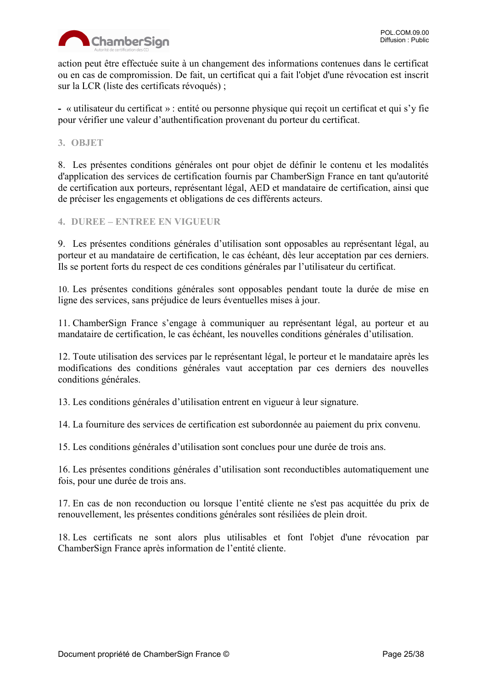

action peut être effectuée suite à un changement des informations contenues dans le certificat ou en cas de compromission. De fait, un certificat qui a fait l'objet d'une révocation est inscrit sur la LCR (liste des certificats révoqués) ;

**-** « utilisateur du certificat » : entité ou personne physique qui reçoit un certificat et qui s'y fie pour vérifier une valeur d'authentification provenant du porteur du certificat.

#### <span id="page-24-0"></span>**3. OBJET**

8. Les présentes conditions générales ont pour objet de définir le contenu et les modalités d'application des services de certification fournis par ChamberSign France en tant qu'autorité de certification aux porteurs, représentant légal, AED et mandataire de certification, ainsi que de préciser les engagements et obligations de ces différents acteurs.

<span id="page-24-1"></span>**4. DUREE – ENTREE EN VIGUEUR**

9. Les présentes conditions générales d'utilisation sont opposables au représentant légal, au porteur et au mandataire de certification, le cas échéant, dès leur acceptation par ces derniers. Ils se portent forts du respect de ces conditions générales par l'utilisateur du certificat.

10. Les présentes conditions générales sont opposables pendant toute la durée de mise en ligne des services, sans préjudice de leurs éventuelles mises à jour.

11. ChamberSign France s'engage à communiquer au représentant légal, au porteur et au mandataire de certification, le cas échéant, les nouvelles conditions générales d'utilisation.

12. Toute utilisation des services par le représentant légal, le porteur et le mandataire après les modifications des conditions générales vaut acceptation par ces derniers des nouvelles conditions générales.

13. Les conditions générales d'utilisation entrent en vigueur à leur signature.

14. La fourniture des services de certification est subordonnée au paiement du prix convenu.

15. Les conditions générales d'utilisation sont conclues pour une durée de trois ans.

16. Les présentes conditions générales d'utilisation sont reconductibles automatiquement une fois, pour une durée de trois ans.

17. En cas de non reconduction ou lorsque l'entité cliente ne s'est pas acquittée du prix de renouvellement, les présentes conditions générales sont résiliées de plein droit.

18. Les certificats ne sont alors plus utilisables et font l'objet d'une révocation par ChamberSign France après information de l'entité cliente.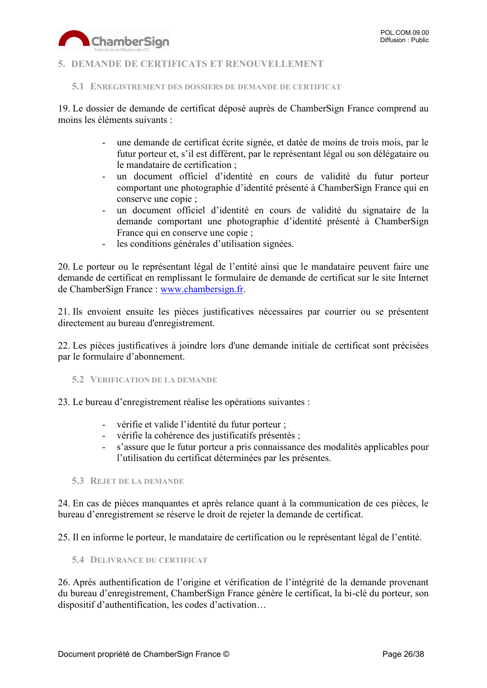

#### <span id="page-25-0"></span>**5. DEMANDE DE CERTIFICATS ET RENOUVELLEMENT**

<span id="page-25-1"></span>**5.1 ENREGISTREMENT DES DOSSIERS DE DEMANDE DE CERTIFICAT**

19. Le dossier de demande de certificat déposé auprès de ChamberSign France comprend au moins les éléments suivants :

- une demande de certificat écrite signée, et datée de moins de trois mois, par le futur porteur et, s'il est différent, par le représentant légal ou son délégataire ou le mandataire de certification ;
- un document officiel d'identité en cours de validité du futur porteur comportant une photographie d'identité présenté à ChamberSign France qui en conserve une copie ;
- un document officiel d'identité en cours de validité du signataire de la demande comportant une photographie d'identité présenté à ChamberSign France qui en conserve une copie ;
- les conditions générales d'utilisation signées.

20. Le porteur ou le représentant légal de l'entité ainsi que le mandataire peuvent faire une demande de certificat en remplissant le formulaire de demande de certificat sur le site Internet de ChamberSign France : [www.chambersign.fr.](http://www.chambersign.fr/)

21. Ils envoient ensuite les pièces justificatives nécessaires par courrier ou se présentent directement au bureau d'enregistrement.

22. Les pièces justificatives à joindre lors d'une demande initiale de certificat sont précisées par le formulaire d'abonnement.

<span id="page-25-2"></span>**5.2 VERIFICATION DE LA DEMANDE**

23. Le bureau d'enregistrement réalise les opérations suivantes :

- vérifie et valide l'identité du futur porteur ;
- vérifie la cohérence des justificatifs présentés ;
- s'assure que le futur porteur a pris connaissance des modalités applicables pour l'utilisation du certificat déterminées par les présentes.

<span id="page-25-3"></span>**5.3 REJET DE LA DEMANDE**

24. En cas de pièces manquantes et après relance quant à la communication de ces pièces, le bureau d'enregistrement se réserve le droit de rejeter la demande de certificat.

25. Il en informe le porteur, le mandataire de certification ou le représentant légal de l'entité.

<span id="page-25-4"></span>**5.4 DELIVRANCE DU CERTIFICAT**

26. Après authentification de l'origine et vérification de l'intégrité de la demande provenant du bureau d'enregistrement, ChamberSign France génère le certificat, la bi-clé du porteur, son dispositif d'authentification, les codes d'activation…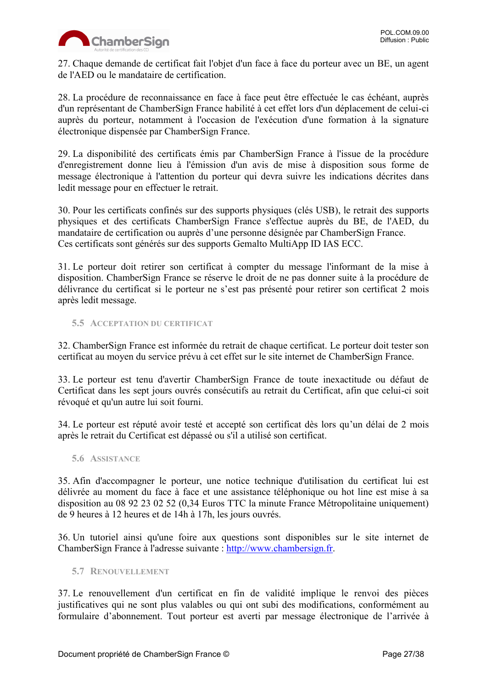

27. Chaque demande de certificat fait l'objet d'un face à face du porteur avec un BE, un agent de l'AED ou le mandataire de certification.

28. La procédure de reconnaissance en face à face peut être effectuée le cas échéant, auprès d'un représentant de ChamberSign France habilité à cet effet lors d'un déplacement de celui-ci auprès du porteur, notamment à l'occasion de l'exécution d'une formation à la signature électronique dispensée par ChamberSign France.

29. La disponibilité des certificats émis par ChamberSign France à l'issue de la procédure d'enregistrement donne lieu à l'émission d'un avis de mise à disposition sous forme de message électronique à l'attention du porteur qui devra suivre les indications décrites dans ledit message pour en effectuer le retrait.

30. Pour les certificats confinés sur des supports physiques (clés USB), le retrait des supports physiques et des certificats ChamberSign France s'effectue auprès du BE, de l'AED, du mandataire de certification ou auprès d'une personne désignée par ChamberSign France. Ces certificats sont générés sur des supports Gemalto MultiApp ID IAS ECC.

31. Le porteur doit retirer son certificat à compter du message l'informant de la mise à disposition. ChamberSign France se réserve le droit de ne pas donner suite à la procédure de délivrance du certificat si le porteur ne s'est pas présenté pour retirer son certificat 2 mois après ledit message.

#### <span id="page-26-0"></span>**5.5 ACCEPTATION DU CERTIFICAT**

32. ChamberSign France est informée du retrait de chaque certificat. Le porteur doit tester son certificat au moyen du service prévu à cet effet sur le site internet de ChamberSign France.

33. Le porteur est tenu d'avertir ChamberSign France de toute inexactitude ou défaut de Certificat dans les sept jours ouvrés consécutifs au retrait du Certificat, afin que celui-ci soit révoqué et qu'un autre lui soit fourni.

34. Le porteur est réputé avoir testé et accepté son certificat dès lors qu'un délai de 2 mois après le retrait du Certificat est dépassé ou s'il a utilisé son certificat.

#### <span id="page-26-1"></span>**5.6 ASSISTANCE**

35. Afin d'accompagner le porteur, une notice technique d'utilisation du certificat lui est délivrée au moment du face à face et une assistance téléphonique ou hot line est mise à sa disposition au 08 92 23 02 52 (0,34 Euros TTC la minute France Métropolitaine uniquement) de 9 heures à 12 heures et de 14h à 17h, les jours ouvrés.

36. Un tutoriel ainsi qu'une foire aux questions sont disponibles sur le site internet de ChamberSign France à l'adresse suivante : [http://www.chambersign.fr.](http://www.chambersign.fr/)

#### <span id="page-26-2"></span>**5.7 RENOUVELLEMENT**

37. Le renouvellement d'un certificat en fin de validité implique le renvoi des pièces justificatives qui ne sont plus valables ou qui ont subi des modifications, conformément au formulaire d'abonnement. Tout porteur est averti par message électronique de l'arrivée à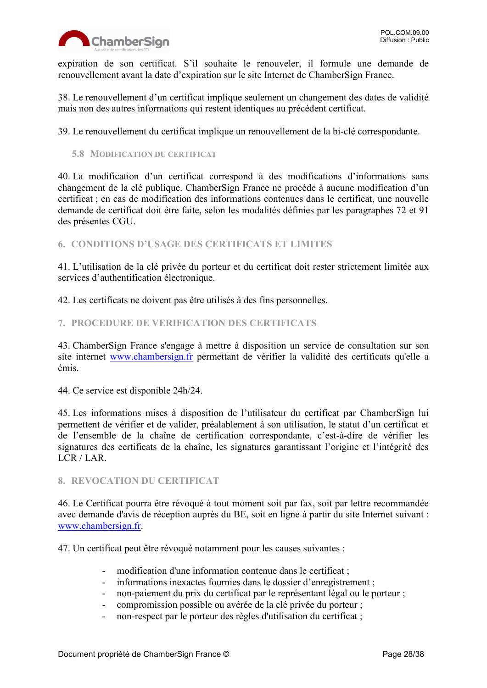

expiration de son certificat. S'il souhaite le renouveler, il formule une demande de renouvellement avant la date d'expiration sur le site Internet de ChamberSign France.

38. Le renouvellement d'un certificat implique seulement un changement des dates de validité mais non des autres informations qui restent identiques au précédent certificat.

39. Le renouvellement du certificat implique un renouvellement de la bi-clé correspondante.

<span id="page-27-0"></span>**5.8 MODIFICATION DU CERTIFICAT**

40. La modification d'un certificat correspond à des modifications d'informations sans changement de la clé publique. ChamberSign France ne procède à aucune modification d'un certificat ; en cas de modification des informations contenues dans le certificat, une nouvelle demande de certificat doit être faite, selon les modalités définies par les paragraphes 72 et 91 des présentes CGU.

<span id="page-27-1"></span>**6. CONDITIONS D'USAGE DES CERTIFICATS ET LIMITES**

41. L'utilisation de la clé privée du porteur et du certificat doit rester strictement limitée aux services d'authentification électronique.

42. Les certificats ne doivent pas être utilisés à des fins personnelles.

#### <span id="page-27-2"></span>**7. PROCEDURE DE VERIFICATION DES CERTIFICATS**

43. ChamberSign France s'engage à mettre à disposition un service de consultation sur son site internet [www.chambersign.fr](http://www.chambersign.fr/) permettant de vérifier la validité des certificats qu'elle a émis.

44. Ce service est disponible 24h/24.

45. Les informations mises à disposition de l'utilisateur du certificat par ChamberSign lui permettent de vérifier et de valider, préalablement à son utilisation, le statut d'un certificat et de l'ensemble de la chaîne de certification correspondante, c'est-à-dire de vérifier les signatures des certificats de la chaîne, les signatures garantissant l'origine et l'intégrité des LCR / LAR.

#### <span id="page-27-3"></span>**8. REVOCATION DU CERTIFICAT**

46. Le Certificat pourra être révoqué à tout moment soit par fax, soit par lettre recommandée avec demande d'avis de réception auprès du BE, soit en ligne à partir du site Internet suivant : [www.chambersign.fr.](http://www.chambersign.fr/)

47. Un certificat peut être révoqué notamment pour les causes suivantes :

- modification d'une information contenue dans le certificat ;
- informations inexactes fournies dans le dossier d'enregistrement ;
- non-paiement du prix du certificat par le représentant légal ou le porteur ;
- compromission possible ou avérée de la clé privée du porteur ;
- non-respect par le porteur des règles d'utilisation du certificat ;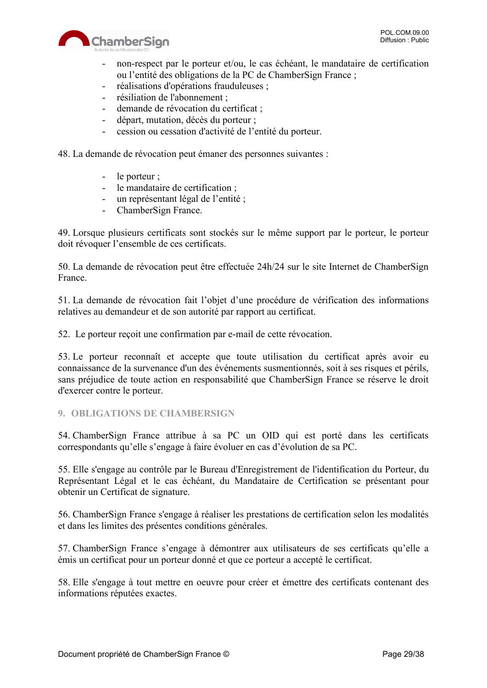

- non-respect par le porteur et/ou, le cas échéant, le mandataire de certification ou l'entité des obligations de la PC de ChamberSign France ;
- réalisations d'opérations frauduleuses ;
- résiliation de l'abonnement ;
- demande de révocation du certificat ;
- départ, mutation, décès du porteur ;
- cession ou cessation d'activité de l'entité du porteur.

48. La demande de révocation peut émaner des personnes suivantes :

- le porteur ;
- le mandataire de certification ;
- un représentant légal de l'entité ;
- ChamberSign France.

49. Lorsque plusieurs certificats sont stockés sur le même support par le porteur, le porteur doit révoquer l'ensemble de ces certificats.

50. La demande de révocation peut être effectuée 24h/24 sur le site Internet de ChamberSign France.

51. La demande de révocation fait l'objet d'une procédure de vérification des informations relatives au demandeur et de son autorité par rapport au certificat.

52. Le porteur reçoit une confirmation par e-mail de cette révocation.

53. Le porteur reconnaît et accepte que toute utilisation du certificat après avoir eu connaissance de la survenance d'un des événements susmentionnés, soit à ses risques et périls, sans préjudice de toute action en responsabilité que ChamberSign France se réserve le droit d'exercer contre le porteur.

#### <span id="page-28-0"></span>**9. OBLIGATIONS DE CHAMBERSIGN**

54. ChamberSign France attribue à sa PC un OID qui est porté dans les certificats correspondants qu'elle s'engage à faire évoluer en cas d'évolution de sa PC.

55. Elle s'engage au contrôle par le Bureau d'Enregistrement de l'identification du Porteur, du Représentant Légal et le cas échéant, du Mandataire de Certification se présentant pour obtenir un Certificat de signature.

56. ChamberSign France s'engage à réaliser les prestations de certification selon les modalités et dans les limites des présentes conditions générales.

57. ChamberSign France s'engage à démontrer aux utilisateurs de ses certificats qu'elle a émis un certificat pour un porteur donné et que ce porteur a accepté le certificat.

58. Elle s'engage à tout mettre en oeuvre pour créer et émettre des certificats contenant des informations réputées exactes.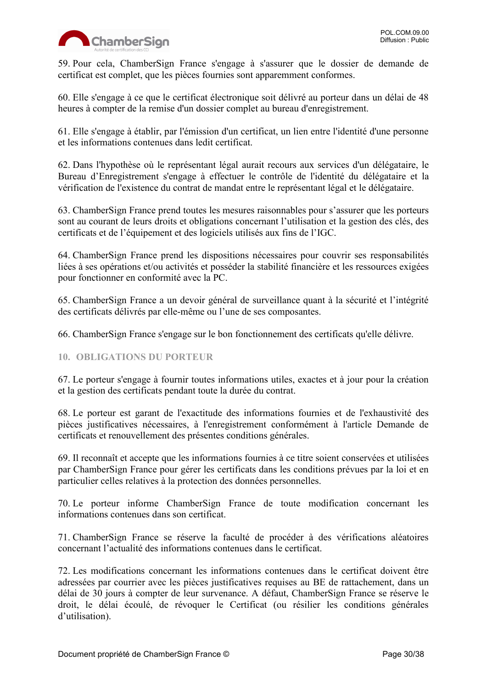

59. Pour cela, ChamberSign France s'engage à s'assurer que le dossier de demande de certificat est complet, que les pièces fournies sont apparemment conformes.

60. Elle s'engage à ce que le certificat électronique soit délivré au porteur dans un délai de 48 heures à compter de la remise d'un dossier complet au bureau d'enregistrement.

61. Elle s'engage à établir, par l'émission d'un certificat, un lien entre l'identité d'une personne et les informations contenues dans ledit certificat.

62. Dans l'hypothèse où le représentant légal aurait recours aux services d'un délégataire, le Bureau d'Enregistrement s'engage à effectuer le contrôle de l'identité du délégataire et la vérification de l'existence du contrat de mandat entre le représentant légal et le délégataire.

63. ChamberSign France prend toutes les mesures raisonnables pour s'assurer que les porteurs sont au courant de leurs droits et obligations concernant l'utilisation et la gestion des clés, des certificats et de l'équipement et des logiciels utilisés aux fins de l'IGC.

64. ChamberSign France prend les dispositions nécessaires pour couvrir ses responsabilités liées à ses opérations et/ou activités et posséder la stabilité financière et les ressources exigées pour fonctionner en conformité avec la PC.

65. ChamberSign France a un devoir général de surveillance quant à la sécurité et l'intégrité des certificats délivrés par elle-même ou l'une de ses composantes.

66. ChamberSign France s'engage sur le bon fonctionnement des certificats qu'elle délivre.

#### <span id="page-29-0"></span>**10. OBLIGATIONS DU PORTEUR**

67. Le porteur s'engage à fournir toutes informations utiles, exactes et à jour pour la création et la gestion des certificats pendant toute la durée du contrat.

68. Le porteur est garant de l'exactitude des informations fournies et de l'exhaustivité des pièces justificatives nécessaires, à l'enregistrement conformément à l'article Demande de certificats et renouvellement des présentes conditions générales.

69. Il reconnaît et accepte que les informations fournies à ce titre soient conservées et utilisées par ChamberSign France pour gérer les certificats dans les conditions prévues par la loi et en particulier celles relatives à la protection des données personnelles.

70. Le porteur informe ChamberSign France de toute modification concernant les informations contenues dans son certificat.

71. ChamberSign France se réserve la faculté de procéder à des vérifications aléatoires concernant l'actualité des informations contenues dans le certificat.

72. Les modifications concernant les informations contenues dans le certificat doivent être adressées par courrier avec les pièces justificatives requises au BE de rattachement, dans un délai de 30 jours à compter de leur survenance. A défaut, ChamberSign France se réserve le droit, le délai écoulé, de révoquer le Certificat (ou résilier les conditions générales d'utilisation).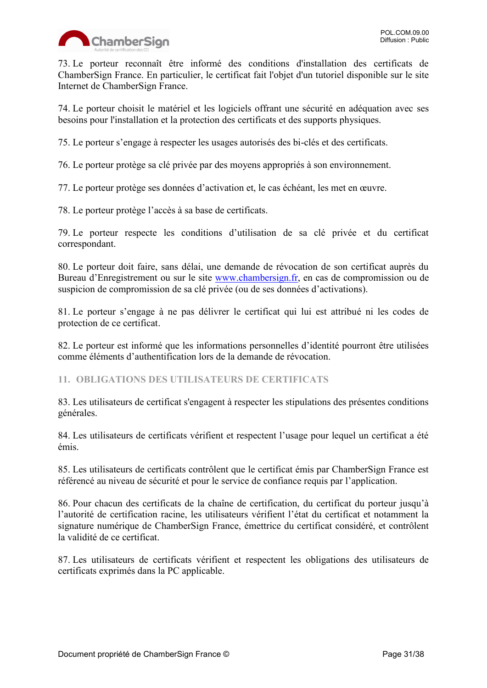

73. Le porteur reconnaît être informé des conditions d'installation des certificats de ChamberSign France. En particulier, le certificat fait l'objet d'un tutoriel disponible sur le site Internet de ChamberSign France.

74. Le porteur choisit le matériel et les logiciels offrant une sécurité en adéquation avec ses besoins pour l'installation et la protection des certificats et des supports physiques.

75. Le porteur s'engage à respecter les usages autorisés des bi-clés et des certificats.

76. Le porteur protège sa clé privée par des moyens appropriés à son environnement.

77. Le porteur protège ses données d'activation et, le cas échéant, les met en œuvre.

78. Le porteur protège l'accès à sa base de certificats.

79. Le porteur respecte les conditions d'utilisation de sa clé privée et du certificat correspondant.

80. Le porteur doit faire, sans délai, une demande de révocation de son certificat auprès du Bureau d'Enregistrement ou sur le site [www.chambersign.fr,](http://www.chambersign.fr/) en cas de compromission ou de suspicion de compromission de sa clé privée (ou de ses données d'activations).

81. Le porteur s'engage à ne pas délivrer le certificat qui lui est attribué ni les codes de protection de ce certificat.

82. Le porteur est informé que les informations personnelles d'identité pourront être utilisées comme éléments d'authentification lors de la demande de révocation.

<span id="page-30-0"></span>**11. OBLIGATIONS DES UTILISATEURS DE CERTIFICATS**

83. Les utilisateurs de certificat s'engagent à respecter les stipulations des présentes conditions générales.

84. Les utilisateurs de certificats vérifient et respectent l'usage pour lequel un certificat a été émis.

85. Les utilisateurs de certificats contrôlent que le certificat émis par ChamberSign France est référencé au niveau de sécurité et pour le service de confiance requis par l'application.

86. Pour chacun des certificats de la chaîne de certification, du certificat du porteur jusqu'à l'autorité de certification racine, les utilisateurs vérifient l'état du certificat et notamment la signature numérique de ChamberSign France, émettrice du certificat considéré, et contrôlent la validité de ce certificat.

87. Les utilisateurs de certificats vérifient et respectent les obligations des utilisateurs de certificats exprimés dans la PC applicable.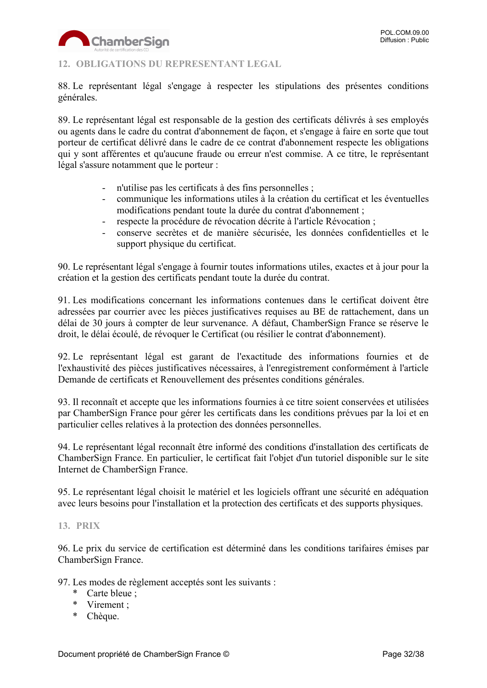

#### <span id="page-31-0"></span>**12. OBLIGATIONS DU REPRESENTANT LEGAL**

88. Le représentant légal s'engage à respecter les stipulations des présentes conditions générales.

89. Le représentant légal est responsable de la gestion des certificats délivrés à ses employés ou agents dans le cadre du contrat d'abonnement de façon, et s'engage à faire en sorte que tout porteur de certificat délivré dans le cadre de ce contrat d'abonnement respecte les obligations qui y sont afférentes et qu'aucune fraude ou erreur n'est commise. A ce titre, le représentant légal s'assure notamment que le porteur :

- n'utilise pas les certificats à des fins personnelles ;
- communique les informations utiles à la création du certificat et les éventuelles modifications pendant toute la durée du contrat d'abonnement ;
- respecte la procédure de révocation décrite à l'article Révocation ;
- conserve secrètes et de manière sécurisée, les données confidentielles et le support physique du certificat.

90. Le représentant légal s'engage à fournir toutes informations utiles, exactes et à jour pour la création et la gestion des certificats pendant toute la durée du contrat.

91. Les modifications concernant les informations contenues dans le certificat doivent être adressées par courrier avec les pièces justificatives requises au BE de rattachement, dans un délai de 30 jours à compter de leur survenance. A défaut, ChamberSign France se réserve le droit, le délai écoulé, de révoquer le Certificat (ou résilier le contrat d'abonnement).

92. Le représentant légal est garant de l'exactitude des informations fournies et de l'exhaustivité des pièces justificatives nécessaires, à l'enregistrement conformément à l'article Demande de certificats et Renouvellement des présentes conditions générales.

93. Il reconnaît et accepte que les informations fournies à ce titre soient conservées et utilisées par ChamberSign France pour gérer les certificats dans les conditions prévues par la loi et en particulier celles relatives à la protection des données personnelles.

94. Le représentant légal reconnaît être informé des conditions d'installation des certificats de ChamberSign France. En particulier, le certificat fait l'objet d'un tutoriel disponible sur le site Internet de ChamberSign France.

95. Le représentant légal choisit le matériel et les logiciels offrant une sécurité en adéquation avec leurs besoins pour l'installation et la protection des certificats et des supports physiques.

#### <span id="page-31-1"></span>**13. PRIX**

96. Le prix du service de certification est déterminé dans les conditions tarifaires émises par ChamberSign France.

97. Les modes de règlement acceptés sont les suivants :

- \* Carte bleue ;
- \* Virement ;
- \* Chèque.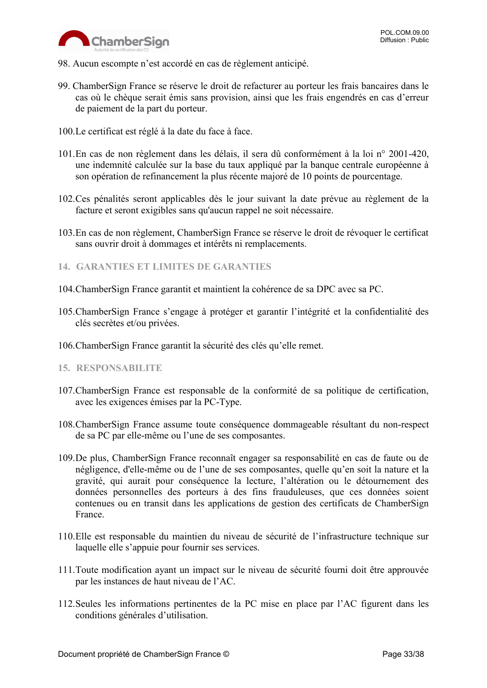

- 98. Aucun escompte n'est accordé en cas de règlement anticipé.
- 99. ChamberSign France se réserve le droit de refacturer au porteur les frais bancaires dans le cas où le chèque serait émis sans provision, ainsi que les frais engendrés en cas d'erreur de paiement de la part du porteur.
- 100.Le certificat est réglé à la date du face à face.
- 101.En cas de non règlement dans les délais, il sera dû conformément à la loi n° 2001-420, une indemnité calculée sur la base du taux appliqué par la banque centrale européenne à son opération de refinancement la plus récente majoré de 10 points de pourcentage.
- 102.Ces pénalités seront applicables dès le jour suivant la date prévue au règlement de la facture et seront exigibles sans qu'aucun rappel ne soit nécessaire.
- 103.En cas de non règlement, ChamberSign France se réserve le droit de révoquer le certificat sans ouvrir droit à dommages et intérêts ni remplacements.

#### <span id="page-32-0"></span>**14. GARANTIES ET LIMITES DE GARANTIES**

- 104.ChamberSign France garantit et maintient la cohérence de sa DPC avec sa PC.
- 105.ChamberSign France s'engage à protéger et garantir l'intégrité et la confidentialité des clés secrètes et/ou privées.
- 106.ChamberSign France garantit la sécurité des clés qu'elle remet.
- <span id="page-32-1"></span>**15. RESPONSABILITE**
- 107.ChamberSign France est responsable de la conformité de sa politique de certification, avec les exigences émises par la PC-Type.
- 108.ChamberSign France assume toute conséquence dommageable résultant du non-respect de sa PC par elle-même ou l'une de ses composantes.
- 109.De plus, ChamberSign France reconnaît engager sa responsabilité en cas de faute ou de négligence, d'elle-même ou de l'une de ses composantes, quelle qu'en soit la nature et la gravité, qui aurait pour conséquence la lecture, l'altération ou le détournement des données personnelles des porteurs à des fins frauduleuses, que ces données soient contenues ou en transit dans les applications de gestion des certificats de ChamberSign France.
- 110.Elle est responsable du maintien du niveau de sécurité de l'infrastructure technique sur laquelle elle s'appuie pour fournir ses services.
- 111.Toute modification ayant un impact sur le niveau de sécurité fourni doit être approuvée par les instances de haut niveau de l'AC.
- 112.Seules les informations pertinentes de la PC mise en place par l'AC figurent dans les conditions générales d'utilisation.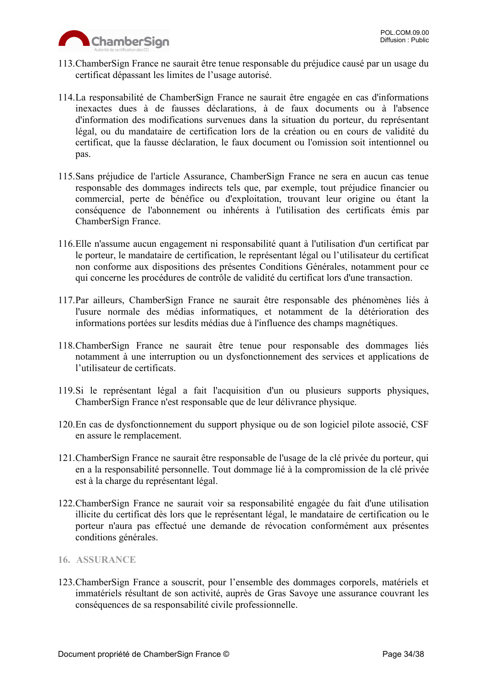

- 113.ChamberSign France ne saurait être tenue responsable du préjudice causé par un usage du certificat dépassant les limites de l'usage autorisé.
- 114.La responsabilité de ChamberSign France ne saurait être engagée en cas d'informations inexactes dues à de fausses déclarations, à de faux documents ou à l'absence d'information des modifications survenues dans la situation du porteur, du représentant légal, ou du mandataire de certification lors de la création ou en cours de validité du certificat, que la fausse déclaration, le faux document ou l'omission soit intentionnel ou pas.
- 115.Sans préjudice de l'article Assurance, ChamberSign France ne sera en aucun cas tenue responsable des dommages indirects tels que, par exemple, tout préjudice financier ou commercial, perte de bénéfice ou d'exploitation, trouvant leur origine ou étant la conséquence de l'abonnement ou inhérents à l'utilisation des certificats émis par ChamberSign France.
- 116.Elle n'assume aucun engagement ni responsabilité quant à l'utilisation d'un certificat par le porteur, le mandataire de certification, le représentant légal ou l'utilisateur du certificat non conforme aux dispositions des présentes Conditions Générales, notamment pour ce qui concerne les procédures de contrôle de validité du certificat lors d'une transaction.
- 117.Par ailleurs, ChamberSign France ne saurait être responsable des phénomènes liés à l'usure normale des médias informatiques, et notamment de la détérioration des informations portées sur lesdits médias due à l'influence des champs magnétiques.
- 118.ChamberSign France ne saurait être tenue pour responsable des dommages liés notamment à une interruption ou un dysfonctionnement des services et applications de l'utilisateur de certificats.
- 119.Si le représentant légal a fait l'acquisition d'un ou plusieurs supports physiques, ChamberSign France n'est responsable que de leur délivrance physique.
- 120.En cas de dysfonctionnement du support physique ou de son logiciel pilote associé, CSF en assure le remplacement.
- 121.ChamberSign France ne saurait être responsable de l'usage de la clé privée du porteur, qui en a la responsabilité personnelle. Tout dommage lié à la compromission de la clé privée est à la charge du représentant légal.
- 122.ChamberSign France ne saurait voir sa responsabilité engagée du fait d'une utilisation illicite du certificat dès lors que le représentant légal, le mandataire de certification ou le porteur n'aura pas effectué une demande de révocation conformément aux présentes conditions générales.

#### <span id="page-33-0"></span>**16. ASSURANCE**

123.ChamberSign France a souscrit, pour l'ensemble des dommages corporels, matériels et immatériels résultant de son activité, auprès de Gras Savoye une assurance couvrant les conséquences de sa responsabilité civile professionnelle.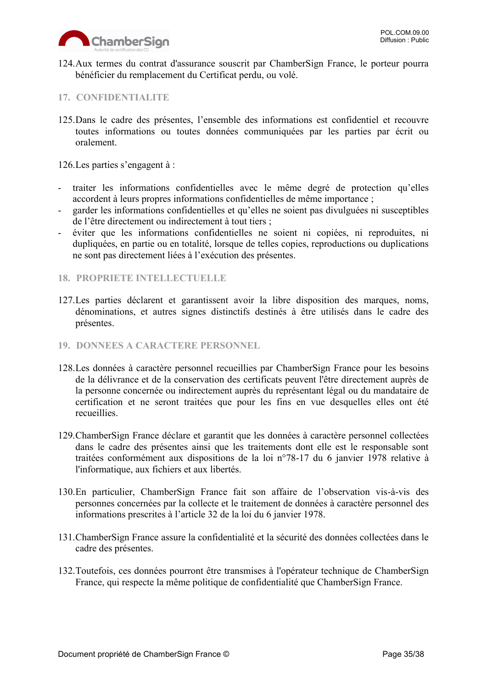

124.Aux termes du contrat d'assurance souscrit par ChamberSign France, le porteur pourra bénéficier du remplacement du Certificat perdu, ou volé.

#### <span id="page-34-0"></span>**17. CONFIDENTIALITE**

125.Dans le cadre des présentes, l'ensemble des informations est confidentiel et recouvre toutes informations ou toutes données communiquées par les parties par écrit ou oralement.

126.Les parties s'engagent à :

- traiter les informations confidentielles avec le même degré de protection qu'elles accordent à leurs propres informations confidentielles de même importance ;
- garder les informations confidentielles et qu'elles ne soient pas divulguées ni susceptibles de l'être directement ou indirectement à tout tiers ;
- éviter que les informations confidentielles ne soient ni copiées, ni reproduites, ni dupliquées, en partie ou en totalité, lorsque de telles copies, reproductions ou duplications ne sont pas directement liées à l'exécution des présentes.

#### <span id="page-34-1"></span>**18. PROPRIETE INTELLECTUELLE**

- 127.Les parties déclarent et garantissent avoir la libre disposition des marques, noms, dénominations, et autres signes distinctifs destinés à être utilisés dans le cadre des présentes.
- <span id="page-34-2"></span>**19. DONNEES A CARACTERE PERSONNEL**
- 128.Les données à caractère personnel recueillies par ChamberSign France pour les besoins de la délivrance et de la conservation des certificats peuvent l'être directement auprès de la personne concernée ou indirectement auprès du représentant légal ou du mandataire de certification et ne seront traitées que pour les fins en vue desquelles elles ont été recueillies.
- 129.ChamberSign France déclare et garantit que les données à caractère personnel collectées dans le cadre des présentes ainsi que les traitements dont elle est le responsable sont traitées conformément aux dispositions de la loi n°78-17 du 6 janvier 1978 relative à l'informatique, aux fichiers et aux libertés.
- 130.En particulier, ChamberSign France fait son affaire de l'observation vis-à-vis des personnes concernées par la collecte et le traitement de données à caractère personnel des informations prescrites à l'article 32 de la loi du 6 janvier 1978.
- 131.ChamberSign France assure la confidentialité et la sécurité des données collectées dans le cadre des présentes.
- 132.Toutefois, ces données pourront être transmises à l'opérateur technique de ChamberSign France, qui respecte la même politique de confidentialité que ChamberSign France.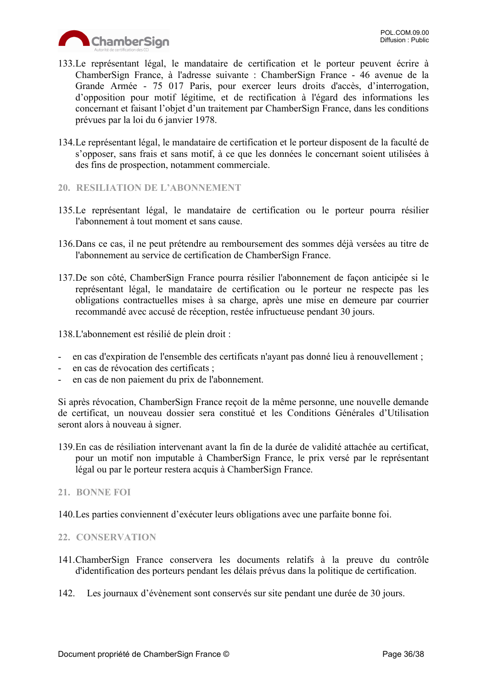

- 133.Le représentant légal, le mandataire de certification et le porteur peuvent écrire à ChamberSign France, à l'adresse suivante : ChamberSign France - 46 avenue de la Grande Armée - 75 017 Paris, pour exercer leurs droits d'accès, d'interrogation, d'opposition pour motif légitime, et de rectification à l'égard des informations les concernant et faisant l'objet d'un traitement par ChamberSign France, dans les conditions prévues par la loi du 6 janvier 1978.
- 134.Le représentant légal, le mandataire de certification et le porteur disposent de la faculté de s'opposer, sans frais et sans motif, à ce que les données le concernant soient utilisées à des fins de prospection, notamment commerciale.
- <span id="page-35-0"></span>**20. RESILIATION DE L'ABONNEMENT**
- 135.Le représentant légal, le mandataire de certification ou le porteur pourra résilier l'abonnement à tout moment et sans cause.
- 136.Dans ce cas, il ne peut prétendre au remboursement des sommes déjà versées au titre de l'abonnement au service de certification de ChamberSign France.
- 137.De son côté, ChamberSign France pourra résilier l'abonnement de façon anticipée si le représentant légal, le mandataire de certification ou le porteur ne respecte pas les obligations contractuelles mises à sa charge, après une mise en demeure par courrier recommandé avec accusé de réception, restée infructueuse pendant 30 jours.

138.L'abonnement est résilié de plein droit :

- en cas d'expiration de l'ensemble des certificats n'ayant pas donné lieu à renouvellement ;
- en cas de révocation des certificats ;
- en cas de non paiement du prix de l'abonnement.

Si après révocation, ChamberSign France reçoit de la même personne, une nouvelle demande de certificat, un nouveau dossier sera constitué et les Conditions Générales d'Utilisation seront alors à nouveau à signer.

- 139.En cas de résiliation intervenant avant la fin de la durée de validité attachée au certificat, pour un motif non imputable à ChamberSign France, le prix versé par le représentant légal ou par le porteur restera acquis à ChamberSign France.
- <span id="page-35-1"></span>**21. BONNE FOI**
- 140.Les parties conviennent d'exécuter leurs obligations avec une parfaite bonne foi.

#### <span id="page-35-2"></span>**22. CONSERVATION**

- 141.ChamberSign France conservera les documents relatifs à la preuve du contrôle d'identification des porteurs pendant les délais prévus dans la politique de certification.
- 142. Les journaux d'évènement sont conservés sur site pendant une durée de 30 jours.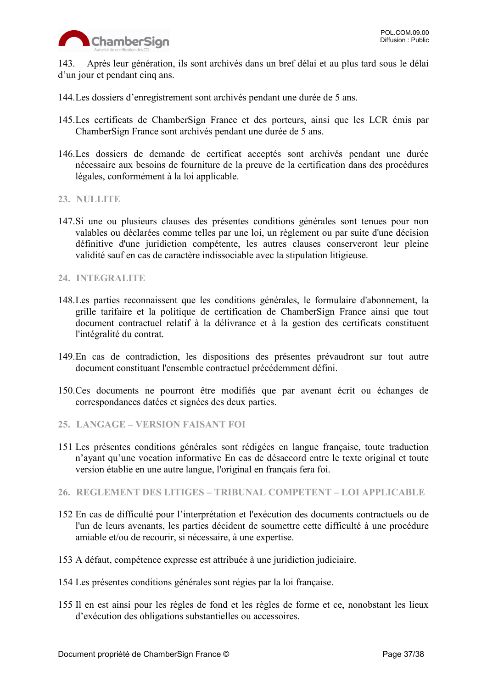

143. Après leur génération, ils sont archivés dans un bref délai et au plus tard sous le délai d'un jour et pendant cinq ans.

144.Les dossiers d'enregistrement sont archivés pendant une durée de 5 ans.

- 145.Les certificats de ChamberSign France et des porteurs, ainsi que les LCR émis par ChamberSign France sont archivés pendant une durée de 5 ans.
- 146.Les dossiers de demande de certificat acceptés sont archivés pendant une durée nécessaire aux besoins de fourniture de la preuve de la certification dans des procédures légales, conformément à la loi applicable.

#### <span id="page-36-0"></span>**23. NULLITE**

147.Si une ou plusieurs clauses des présentes conditions générales sont tenues pour non valables ou déclarées comme telles par une loi, un règlement ou par suite d'une décision définitive d'une juridiction compétente, les autres clauses conserveront leur pleine validité sauf en cas de caractère indissociable avec la stipulation litigieuse.

#### <span id="page-36-1"></span>**24. INTEGRALITE**

- 148.Les parties reconnaissent que les conditions générales, le formulaire d'abonnement, la grille tarifaire et la politique de certification de ChamberSign France ainsi que tout document contractuel relatif à la délivrance et à la gestion des certificats constituent l'intégralité du contrat.
- 149.En cas de contradiction, les dispositions des présentes prévaudront sur tout autre document constituant l'ensemble contractuel précédemment défini.
- 150.Ces documents ne pourront être modifiés que par avenant écrit ou échanges de correspondances datées et signées des deux parties.
- <span id="page-36-2"></span>**25. LANGAGE – VERSION FAISANT FOI**
- 151 Les présentes conditions générales sont rédigées en langue française, toute traduction n'ayant qu'une vocation informative En cas de désaccord entre le texte original et toute version établie en une autre langue, l'original en français fera foi.
- <span id="page-36-3"></span>**26. REGLEMENT DES LITIGES – TRIBUNAL COMPETENT – LOI APPLICABLE**
- 152 En cas de difficulté pour l'interprétation et l'exécution des documents contractuels ou de l'un de leurs avenants, les parties décident de soumettre cette difficulté à une procédure amiable et/ou de recourir, si nécessaire, à une expertise.
- 153 A défaut, compétence expresse est attribuée à une juridiction judiciaire.
- 154 Les présentes conditions générales sont régies par la loi française.
- 155 Il en est ainsi pour les règles de fond et les règles de forme et ce, nonobstant les lieux d'exécution des obligations substantielles ou accessoires.